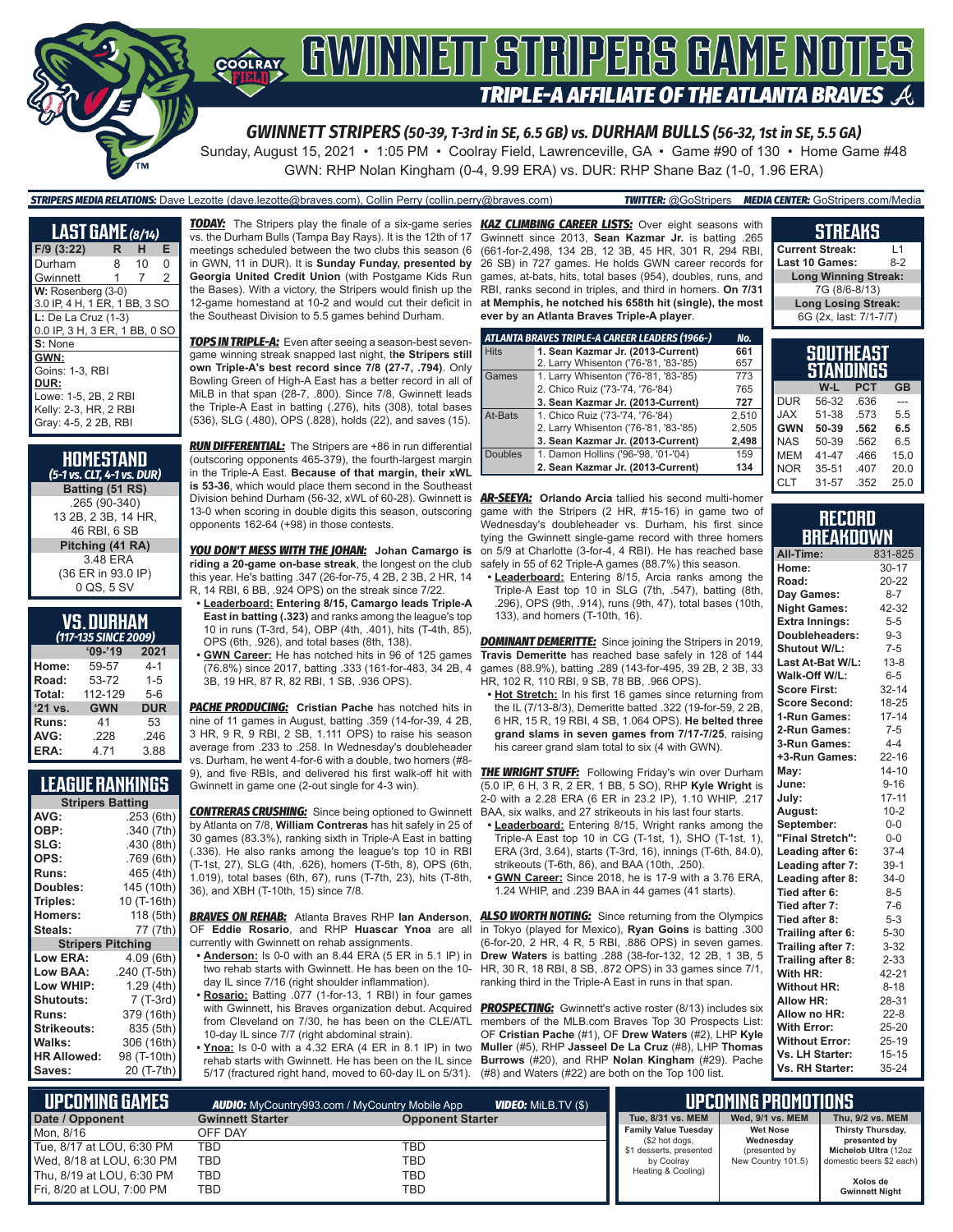

Sunday, August 15, 2021 • 1:05 PM • Coolray Field, Lawrenceville, GA • Game #90 of 130 • Home Game #48 GWN: RHP Nolan Kingham (0-4, 9.99 ERA) vs. DUR: RHP Shane Baz (1-0, 1.96 ERA)

*STRIPERS MEDIA RELATIONS:* Dave Lezotte (dave.lezotte@braves.com), Collin Perry (collin.perry@braves.com) *TWITTER:* @GoStripers *MEDIA CENTER:* GoStripers.com/Media

| <b>LAST GAME</b> (8/14)       |   |    |                |
|-------------------------------|---|----|----------------|
| F/9 (3:22)                    | R | н  | Е              |
| Durham                        | 8 | 10 | 0              |
| Gwinnett                      | 1 | 7  | $\overline{2}$ |
| W: Rosenberg (3-0)            |   |    |                |
| 3.0 IP, 4 H, 1 ER, 1 BB, 3 SO |   |    |                |
| $L:$ De La Cruz (1-3)         |   |    |                |
| 0.0 IP, 3 H, 3 ER, 1 BB, 0 SO |   |    |                |
| S: None                       |   |    |                |
| GWN:                          |   |    |                |
| Goins: 1-3, RBI               |   |    |                |
| DUR:                          |   |    |                |
| Lowe: 1-5, 2B, 2 RBI          |   |    |                |
| Kelly: 2-3, HR, 2 RBI         |   |    |                |
| Gray: 4-5, 2 2B, RBI          |   |    |                |

| <b>HOMESTAND</b><br>(5-1 vs. CLT, 4-1 vs. DUR)       |
|------------------------------------------------------|
| Batting (51 RS)                                      |
| .265 (90-340)<br>13 2B, 2 3B, 14 HR,<br>46 RBI, 6 SB |
| Pitching (41 RA)                                     |
| 3.48 ERA<br>(36 ER in 93.0 IP)<br>0 QS, 5 SV         |

### **VS. DURHAM**

|         | (117-135 SINCE 2009) |            |
|---------|----------------------|------------|
|         | $09 - 19$            | 2021       |
| Home:   | 59-57                | $4 - 1$    |
| Road:   | 53-72                | $1 - 5$    |
| Total:  | 112-129              | $5 - 6$    |
| '21 vs. | <b>GWN</b>           | <b>DUR</b> |
| Runs:   | 41                   | 53         |
| AVG:    | .228                 | .246       |
| ERA:    | 4.71                 | 3.88       |

#### **LEAGUE RANKINGS**

| <b>Stripers Batting</b>  |              |
|--------------------------|--------------|
| AVG:                     | .253 (6th)   |
| OBP:                     | .340(7th)    |
| SLG:                     | .430 (8th)   |
| OPS:                     | .769(6th)    |
| <b>Runs:</b>             | 465 (4th)    |
| Doubles:                 | 145 (10th)   |
| Triples:                 | 10 (T-16th)  |
| Homers:                  | 118 (5th)    |
| Steals:                  | 77 (7th)     |
| <b>Stripers Pitching</b> |              |
| <b>Low ERA:</b>          | 4.09 (6th)   |
| Low BAA:                 | .240 (T-5th) |
| Low WHIP:                | 1.29 (4th)   |
| <b>Shutouts:</b>         | 7 (T-3rd)    |
| <b>Runs:</b>             | 379 (16th)   |
| <b>Strikeouts:</b>       | 835 (5th)    |
| <b>Walks:</b>            | 306 (16th)   |
| <b>HR Allowed:</b>       | 98 (T-10th)  |
| Saves:                   | 20 (T-7th)   |

vs. the Durham Bulls (Tampa Bay Rays). It is the 12th of 17 meetings scheduled between the two clubs this season (6 in GWN, 11 in DUR). It is **Sunday Funday, presented by Georgia United Credit Union** (with Postgame Kids Run the Bases). With a victory, the Stripers would finish up the 12-game homestand at 10-2 and would cut their deficit in the Southeast Division to 5.5 games behind Durham.

*TOPS IN TRIPLE-A:* Even after seeing a season-best sevengame winning streak snapped last night, t**he Stripers still own Triple-A's best record since 7/8 (27-7, .794)**. Only Bowling Green of High-A East has a better record in all of MiLB in that span (28-7, .800). Since 7/8, Gwinnett leads the Triple-A East in batting (.276), hits (308), total bases (536), SLG (.480), OPS (.828), holds (22), and saves (15).

*RUN DIFFERENTIAL:* The Stripers are +86 in run differential (outscoring opponents 465-379), the fourth-largest margin in the Triple-A East. **Because of that margin, their xWL is 53-36**, which would place them second in the Southeast Division behind Durham (56-32, xWL of 60-28). Gwinnett is *AR-SEEYA:* **Orlando Arcia** tallied his second multi-homer 13-0 when scoring in double digits this season, outscoring opponents 162-64 (+98) in those contests.

*YOU DON'T MESS WITH THE JOHAN:* **Johan Camargo is riding a 20-game on-base streak**, the longest on the club this year. He's batting .347 (26-for-75, 4 2B, 2 3B, 2 HR, 14 R, 14 RBI, 6 BB, .924 OPS) on the streak since 7/22.

- **• Leaderboard: Entering 8/15, Camargo leads Triple-A East in batting (.323)** and ranks among the league's top 10 in runs (T-3rd, 54), OBP (4th, .401), hits (T-4th, 85), OPS (6th, .926), and total bases (8th, 138).
- **• GWN Career:** He has notched hits in 96 of 125 games (76.8%) since 2017, batting .333 (161-for-483, 34 2B, 4 3B, 19 HR, 87 R, 82 RBI, 1 SB, .936 OPS).

*PACHE PRODUCING:* **Cristian Pache** has notched hits in nine of 11 games in August, batting .359 (14-for-39, 4 2B, 3 HR, 9 R, 9 RBI, 2 SB, 1.111 OPS) to raise his season average from .233 to .258. In Wednesday's doubleheader vs. Durham, he went 4-for-6 with a double, two homers (#8-

Gwinnett in game one (2-out single for 4-3 win).

*CONTRERAS CRUSHING:* Since being optioned to Gwinnett by Atlanta on 7/8, **William Contreras** has hit safely in 25 of 30 games (83.3%), ranking sixth in Triple-A East in batting (.336). He also ranks among the league's top 10 in RBI (T-1st, 27), SLG (4th, .626), homers (T-5th, 8), OPS (6th, 1.019), total bases (6th, 67), runs (T-7th, 23), hits (T-8th, 36), and XBH (T-10th, 15) since 7/8.

#### *BRAVES ON REHAB:* Atlanta Braves RHP **Ian Anderson**, OF **Eddie Rosario**, and RHP **Huascar Ynoa** are all currently with Gwinnett on rehab assignments.

**• Anderson:** Is 0-0 with an 8.44 ERA (5 ER in 5.1 IP) in two rehab starts with Gwinnett. He has been on the 10 day IL since 7/16 (right shoulder inflammation).

**• Rosario:** Batting .077 (1-for-13, 1 RBI) in four games from Cleveland on 7/30, he has been on the CLE/ATL 10-day IL since 7/7 (right abdominal strain).

**• Ynoa:** Is 0-0 with a 4.32 ERA (4 ER in 8.1 IP) in two 5/17 (fractured right hand, moved to 60-day IL on 5/31). (#8) and Waters (#22) are both on the Top 100 list.

*TODAY:* The Stripers play the finale of a six-game series *KAZ CLIMBING CAREER LISTS:* Over eight seasons with Gwinnett since 2013, **Sean Kazmar Jr.** is batting .265 (661-for-2,498, 134 2B, 12 3B, 45 HR, 301 R, 294 RBI, 26 SB) in 727 games. He holds GWN career records for games, at-bats, hits, total bases (954), doubles, runs, and RBI, ranks second in triples, and third in homers. **On 7/31 at Memphis, he notched his 658th hit (single), the most ever by an Atlanta Braves Triple-A player**.

|                | ATLANTA BRAVES TRIPLE-A CAREER LEADERS (1966-) | No.   |
|----------------|------------------------------------------------|-------|
| <b>Hits</b>    | 1. Sean Kazmar Jr. (2013-Current)              | 661   |
|                | 2. Larry Whisenton ('76-'81, '83-'85)          | 657   |
| Games          | 1. Larry Whisenton ('76-'81, '83-'85)          | 773   |
|                | 2. Chico Ruiz ('73-'74, '76-'84)               | 765   |
|                | 3. Sean Kazmar Jr. (2013-Current)              | 727   |
| At-Bats        | 1. Chico Ruiz ('73-'74, '76-'84)               | 2.510 |
|                | 2. Larry Whisenton ('76-'81, '83-'85)          | 2,505 |
|                | 3. Sean Kazmar Jr. (2013-Current)              | 2,498 |
| <b>Doubles</b> | 1. Damon Hollins ('96-'98, '01-'04)            | 159   |
|                | 2. Sean Kazmar Jr. (2013-Current)              | 134   |

game with the Stripers (2 HR, #15-16) in game two of Wednesday's doubleheader vs. Durham, his first since tying the Gwinnett single-game record with three homers on 5/9 at Charlotte (3-for-4, 4 RBI). He has reached base safely in 55 of 62 Triple-A games (88.7%) this season.

**• Leaderboard:** Entering 8/15, Arcia ranks among the Triple-A East top 10 in SLG (7th, .547), batting (8th, .296), OPS (9th, .914), runs (9th, 47), total bases (10th, 133), and homers (T-10th, 16).

**DOMINANT DEMERITTE:** Since joining the Stripers in 2019, **Travis Demeritte** has reached base safely in 128 of 144 games (88.9%), batting .289 (143-for-495, 39 2B, 2 3B, 33 HR, 102 R, 110 RBI, 9 SB, 78 BB, .966 OPS).

**• Hot Stretch:** In his first 16 games since returning from the IL (7/13-8/3), Demeritte batted .322 (19-for-59, 2 2B, 6 HR, 15 R, 19 RBI, 4 SB, 1.064 OPS). **He belted three grand slams in seven games from 7/17-7/25**, raising his career grand slam total to six (4 with GWN).

9), and five RBIs, and delivered his first walk-off hit with *THE WRIGHT STUFF:* Following Friday's win over Durham (5.0 IP, 6 H, 3 R, 2 ER, 1 BB, 5 SO), RHP **Kyle Wright** is 2-0 with a 2.28 ERA (6 ER in 23.2 IP), 1.10 WHIP, .217 BAA, six walks, and 27 strikeouts in his last four starts.

- **• Leaderboard:** Entering 8/15, Wright ranks among the Triple-A East top 10 in CG (T-1st, 1), SHO (T-1st, 1), ERA (3rd, 3.64), starts (T-3rd, 16), innings (T-6th, 84.0), strikeouts (T-6th, 86), and BAA (10th, .250).
- **• GWN Career:** Since 2018, he is 17-9 with a 3.76 ERA, 1.24 WHIP, and .239 BAA in 44 games (41 starts).

**ALSO WORTH NOTING:** Since returning from the Olympics in Tokyo (played for Mexico), **Ryan Goins** is batting .300 (6-for-20, 2 HR, 4 R, 5 RBI, .886 OPS) in seven games. **Drew Waters** is batting .288 (38-for-132, 12 2B, 1 3B, 5 HR, 30 R, 18 RBI, 8 SB, .872 OPS) in 33 games since 7/1, ranking third in the Triple-A East in runs in that span.

with Gwinnett, his Braves organization debut. Acquired PROSPECTING: Gwinnett's active roster (8/13) includes six rehab starts with Gwinnett. He has been on the IL since **Burrows** (#20), and RHP **Nolan Kingham** (#29). Pache members of the MLB.com Braves Top 30 Prospects List: OF **Cristian Pache** (#1), OF **Drew Waters** (#2), LHP **Kyle Muller** (#5), RHP **Jasseel De La Cruz** (#8), LHP **Thomas** 

#### **Current Streak:** L1 **Last 10 Games: Long Winning Streak:** 7G (8/6-8/13) **Long Losing Streak:** 6G (2x, last: 7/1-7/7)

**STREAKS**

|            | SOUTHEAST<br><b>STANDINGS</b> |            |           |
|------------|-------------------------------|------------|-----------|
|            | W-L                           | <b>PCT</b> | <b>GB</b> |
| <b>DUR</b> | 56-32                         | .636       |           |
| <b>XAL</b> | 51-38                         | .573       | 5.5       |
| <b>GWN</b> | 50-39                         | .562       | 6.5       |
| <b>NAS</b> | 50-39                         | .562       | 6.5       |
| <b>MEM</b> | 41-47                         | .466       | 15.0      |
| <b>NOR</b> | $35 - 51$                     | .407       | 20.0      |
| <b>CLT</b> | 31-57                         | .352       | 25.0      |

#### **RECORD BREAKDOWN**

| All-Time:             | 831-825   |
|-----------------------|-----------|
| Home:                 | $30 - 17$ |
| Road:                 | 20-22     |
| Day Games:            | $8 - 7$   |
| <b>Night Games:</b>   | 42-32     |
| <b>Extra Innings:</b> | $5 - 5$   |
| Doubleheaders:        | $9 - 3$   |
| Shutout W/L:          | $7 - 5$   |
| Last At-Bat W/L:      | $13 - 8$  |
| Walk-Off W/L:         | $6 - 5$   |
| <b>Score First:</b>   | $32 - 14$ |
| <b>Score Second:</b>  | 18-25     |
| 1-Run Games:          | $17 - 14$ |
| 2-Run Games:          | $7 - 5$   |
| 3-Run Games:          | $4 - 4$   |
| +3-Run Games:         | $22 - 16$ |
| May:                  | $14 - 10$ |
| June:                 | $9 - 16$  |
| July:                 | $17 - 11$ |
| August:               | $10 - 2$  |
| September:            | $0-0$     |
| "Final Stretch":      | $0-0$     |
| Leading after 6:      | $37 - 4$  |
| Leading after 7:      | $39-1$    |
| Leading after 8:      | $34-0$    |
| Tied after 6:         | $8 - 5$   |
| Tied after 7:         | $7-6$     |
| Tied after 8:         | $5 - 3$   |
| Trailing after 6:     | $5 - 30$  |
| Trailing after 7:     | $3 - 32$  |
| Trailing after 8:     | $2 - 33$  |
| With HR:              | 42-21     |
| <b>Without HR:</b>    | $8 - 18$  |
| <b>Allow HR:</b>      | 28-31     |
| Allow no HR:          | $22 - 8$  |
| <b>With Error:</b>    | 25-20     |
| <b>Without Error:</b> | $25 - 19$ |
| Vs. LH Starter:       | $15 - 15$ |
| Vs. RH Starter:       | 35-24     |

| <b>Gwinnett Starter</b> | <b>Opponent Starter</b> | Tue, 8/31 vs. MEM                                                                   | Wed. 9/1 vs. MEM                                                | Thu, 9/2 vs. MEM                                         |
|-------------------------|-------------------------|-------------------------------------------------------------------------------------|-----------------------------------------------------------------|----------------------------------------------------------|
| OFF DAY                 |                         | <b>Family Value Tuesday</b>                                                         | <b>Wet Nose</b>                                                 | Thirsty Thursday,                                        |
| TBD                     | TBD                     |                                                                                     |                                                                 | presented by<br>Michelob Ultra (12oz                     |
| <b>TBD</b>              | TBD                     | by Coolray                                                                          | New Country 101.5)                                              | domestic beers \$2 each)                                 |
| TBD                     | TBD                     |                                                                                     |                                                                 | Xolos de                                                 |
| TBD                     | TBD                     |                                                                                     |                                                                 | <b>Gwinnett Night</b>                                    |
|                         |                         | <b>VIDEO:</b> MILB.TV (\$)<br><b>AUDIO:</b> MyCountry993.com / MyCountry Mobile App | (\$2 hot dogs,<br>\$1 desserts, presented<br>Heating & Cooling) | <b>UPCOMING PROMOTIONS</b><br>Wednesday<br>(presented by |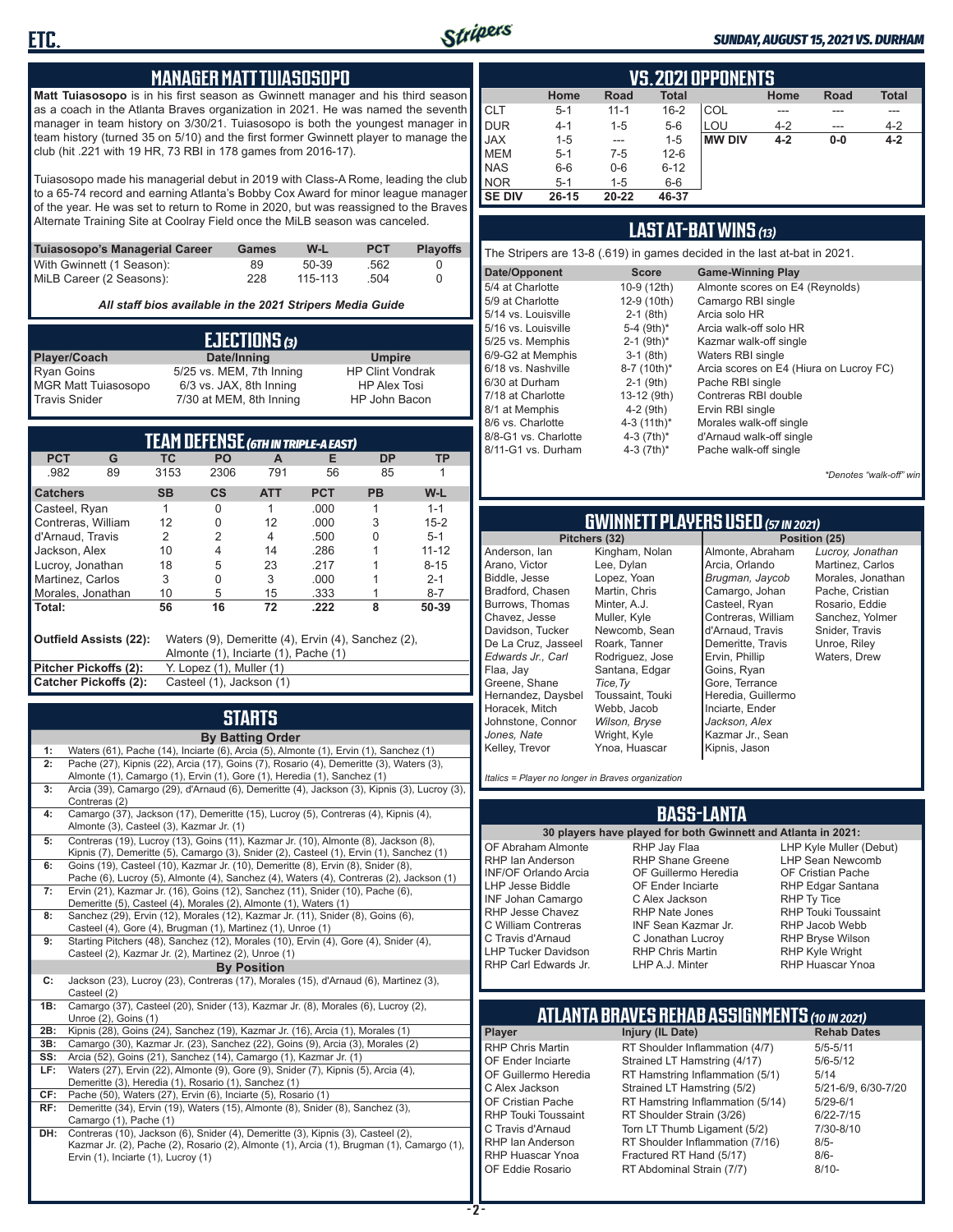

#### *SUNDAY, AUGUST 15, 2021 VS. DURHAM*

#### **MANAGER MATT TUIASOSOPO**

**Matt Tuiasosopo** is in his first season as Gwinnett manager and his third season as a coach in the Atlanta Braves organization in 2021. He was named the seventh manager in team history on 3/30/21. Tuiasosopo is both the youngest manager in team history (turned 35 on 5/10) and the first former Gwinnett player to manage the club (hit .221 with 19 HR, 73 RBI in 178 games from 2016-17).

Tuiasosopo made his managerial debut in 2019 with Class-A Rome, leading the club to a 65-74 record and earning Atlanta's Bobby Cox Award for minor league manager of the year. He was set to return to Rome in 2020, but was reassigned to the Braves Alternate Training Site at Coolray Field once the MiLB season was canceled.

| Tuiasosopo's Managerial Career | Games | W-L     | <b>PCT</b> | <b>Plavoffs</b> |
|--------------------------------|-------|---------|------------|-----------------|
| With Gwinnett (1 Season):      | 89    | $50-39$ | .562       |                 |
| MiLB Career (2 Seasons):       | 228   | 115-113 | .504       |                 |

*All staff bios available in the 2021 Stripers Media Guide*

|                            | EJECTIONS (3)            |                         |
|----------------------------|--------------------------|-------------------------|
| Player/Coach               | Date/Inning              | <b>Umpire</b>           |
| Ryan Goins                 | 5/25 vs. MEM, 7th Inning | <b>HP Clint Vondrak</b> |
| <b>MGR Matt Tuiasosopo</b> | 6/3 vs. JAX, 8th Inning  | <b>HP Alex Tosi</b>     |
| Travis Snider              | 7/30 at MEM, 8th Inning  | HP John Bacon           |

| TEAM DEFENSE (GTH IN TRIPLE-A EAST) |                                                                                                                      |           |                          |            |            |           |           |
|-------------------------------------|----------------------------------------------------------------------------------------------------------------------|-----------|--------------------------|------------|------------|-----------|-----------|
| <b>PCT</b>                          | G                                                                                                                    | TC        | <b>PO</b>                | A          | Е          | <b>DP</b> | ТP        |
| .982                                | 89                                                                                                                   | 3153      | 2306                     | 791        | 56         | 85        |           |
| <b>Catchers</b>                     |                                                                                                                      | <b>SB</b> | $\mathsf{cs}$            | <b>ATT</b> | <b>PCT</b> | <b>PB</b> | W-L       |
| Casteel, Ryan                       |                                                                                                                      |           | 0                        |            | .000.      |           | $1 - 1$   |
| Contreras, William                  |                                                                                                                      | 12        | 0                        | 12         | .000       | 3         | $15 - 2$  |
| d'Arnaud, Travis                    |                                                                                                                      | 2         | 2                        | 4          | .500       | U         | $5 - 1$   |
| Jackson, Alex                       |                                                                                                                      | 10        | 4                        | 14         | .286       |           | $11 - 12$ |
| Lucroy, Jonathan                    |                                                                                                                      | 18        | 5                        | 23         | .217       |           | $8 - 15$  |
| Martinez, Carlos                    |                                                                                                                      | 3         | 0                        | 3          | .000       |           | $2 - 1$   |
| Morales, Jonathan                   |                                                                                                                      | 10        | 5                        | 15         | .333       |           | $8 - 7$   |
| Total:                              |                                                                                                                      | 56        | 16                       | 72         | .222       | 8         | 50-39     |
|                                     | Outfield Assists (22):<br>Waters (9), Demeritte (4), Ervin (4), Sanchez (2),<br>Almonte (1), Inciarte (1), Pache (1) |           |                          |            |            |           |           |
| Pitcher Pickoffs (2):               |                                                                                                                      |           | Y. Lopez (1), Muller (1) |            |            |           |           |
| Catcher Pickoffs (2):               |                                                                                                                      |           | Casteel (1), Jackson (1) |            |            |           |           |

## **STARTS**

|     | <b>By Batting Order</b>                                                                                                                        |
|-----|------------------------------------------------------------------------------------------------------------------------------------------------|
| 1:  | Waters (61), Pache (14), Inciarte (6), Arcia (5), Almonte (1), Ervin (1), Sanchez (1)                                                          |
| 2:  | Pache (27), Kipnis (22), Arcia (17), Goins (7), Rosario (4), Demeritte (3), Waters (3),                                                        |
|     | Almonte (1), Camargo (1), Ervin (1), Gore (1), Heredia (1), Sanchez (1)                                                                        |
| 3:  | Arcia (39), Camargo (29), d'Arnaud (6), Demeritte (4), Jackson (3), Kipnis (3), Lucroy (3),                                                    |
|     | Contreras (2)                                                                                                                                  |
| 4:  | Camargo (37), Jackson (17), Demeritte (15), Lucroy (5), Contreras (4), Kipnis (4),                                                             |
|     | Almonte (3), Casteel (3), Kazmar Jr. (1)                                                                                                       |
| 5:  | Contreras (19), Lucroy (13), Goins (11), Kazmar Jr. (10), Almonte (8), Jackson (8),                                                            |
|     | Kipnis (7), Demeritte (5), Camargo (3), Snider (2), Casteel (1), Ervin (1), Sanchez (1)                                                        |
| 6:  | Goins (19), Casteel (10), Kazmar Jr. (10), Demeritte (8), Ervin (8), Snider (8),                                                               |
|     | Pache (6), Lucroy (5), Almonte (4), Sanchez (4), Waters (4), Contreras (2), Jackson (1)                                                        |
| 7:  | Ervin (21), Kazmar Jr. (16), Goins (12), Sanchez (11), Snider (10), Pache (6),                                                                 |
| 8:  | Demeritte (5), Casteel (4), Morales (2), Almonte (1), Waters (1)                                                                               |
|     | Sanchez (29), Ervin (12), Morales (12), Kazmar Jr. (11), Snider (8), Goins (6),<br>Casteel (4), Gore (4), Brugman (1), Martinez (1), Unroe (1) |
| 9:  | Starting Pitchers (48), Sanchez (12), Morales (10), Ervin (4), Gore (4), Snider (4),                                                           |
|     | Casteel (2), Kazmar Jr. (2), Martinez (2), Unroe (1)                                                                                           |
|     | <b>By Position</b>                                                                                                                             |
| C:  | Jackson (23), Lucroy (23), Contreras (17), Morales (15), d'Arnaud (6), Martinez (3),                                                           |
|     | Casteel (2)                                                                                                                                    |
| 1B: | Camargo (37), Casteel (20), Snider (13), Kazmar Jr. (8), Morales (6), Lucroy (2),                                                              |
|     | Unroe (2), Goins (1)                                                                                                                           |
| 2B: | Kipnis (28), Goins (24), Sanchez (19), Kazmar Jr. (16), Arcia (1), Morales (1)                                                                 |
| 3B: | Camargo (30), Kazmar Jr. (23), Sanchez (22), Goins (9), Arcia (3), Morales (2)                                                                 |
| SS: | Arcia (52), Goins (21), Sanchez (14), Camargo (1), Kazmar Jr. (1)                                                                              |
| LF: | Waters (27), Ervin (22), Almonte (9), Gore (9), Snider (7), Kipnis (5), Arcia (4),                                                             |
|     | Demeritte (3), Heredia (1), Rosario (1), Sanchez (1)                                                                                           |
| CF: | Pache (50), Waters (27), Ervin (6), Inciarte (5), Rosario (1)                                                                                  |
| RF: | Demeritte (34), Ervin (19), Waters (15), Almonte (8), Snider (8), Sanchez (3),                                                                 |
|     | Camargo (1), Pache (1)                                                                                                                         |
| DH: | Contreras (10), Jackson (6), Snider (4), Demeritte (3), Kipnis (3), Casteel (2),                                                               |
|     | Kazmar Jr. (2), Pache (2), Rosario (2), Almonte (1), Arcia (1), Brugman (1), Camargo (1),                                                      |
|     | Ervin (1), Inciarte (1), Lucroy (1)                                                                                                            |
|     |                                                                                                                                                |

|               | <b>VS. 2021 OPPONENTS</b> |          |              |               |         |       |              |  |  |  |  |
|---------------|---------------------------|----------|--------------|---------------|---------|-------|--------------|--|--|--|--|
|               | Home                      | Road     | <b>Total</b> |               | Home    | Road  | <b>Total</b> |  |  |  |  |
| <b>CLT</b>    | $5 - 1$                   | $11 - 1$ | $16 - 2$     | COL           |         |       |              |  |  |  |  |
| DUR           | $4 - 1$                   | $1 - 5$  | $5-6$        | LOU           | $4 - 2$ |       | $4 - 2$      |  |  |  |  |
| <b>JAX</b>    | $1 - 5$                   | $- - -$  | $1 - 5$      | <b>MW DIV</b> | $4 - 2$ | $0-0$ | $4 - 2$      |  |  |  |  |
| <b>MEM</b>    | $5 - 1$                   | $7-5$    | $12 - 6$     |               |         |       |              |  |  |  |  |
| <b>NAS</b>    | $6-6$                     | $0-6$    | $6 - 12$     |               |         |       |              |  |  |  |  |
| <b>NOR</b>    | $5 - 1$                   | $1 - 5$  | $6-6$        |               |         |       |              |  |  |  |  |
| <b>SE DIV</b> | $26 - 15$                 | 20-22    | 46-37        |               |         |       |              |  |  |  |  |

#### **LAST AT-BAT WINS** *(13)*

| The Stripers are 13-8 (.619) in games decided in the last at-bat in 2021. |                          |                                         |  |  |  |  |  |  |  |  |  |
|---------------------------------------------------------------------------|--------------------------|-----------------------------------------|--|--|--|--|--|--|--|--|--|
| Date/Opponent                                                             | <b>Score</b>             | <b>Game-Winning Play</b>                |  |  |  |  |  |  |  |  |  |
| 5/4 at Charlotte                                                          | 10-9 (12th)              | Almonte scores on E4 (Reynolds)         |  |  |  |  |  |  |  |  |  |
| 5/9 at Charlotte                                                          | 12-9 (10th)              | Camargo RBI single                      |  |  |  |  |  |  |  |  |  |
| 5/14 vs. Louisville                                                       | $2-1$ (8th)              | Arcia solo HR                           |  |  |  |  |  |  |  |  |  |
| 5/16 vs. Louisville                                                       | 5-4 $(9th)*$             | Arcia walk-off solo HR                  |  |  |  |  |  |  |  |  |  |
| 5/25 vs. Memphis                                                          | $2-1$ (9th) <sup>*</sup> | Kazmar walk-off single                  |  |  |  |  |  |  |  |  |  |
| 6/9-G2 at Memphis                                                         | $3-1$ (8th)              | Waters RBI single                       |  |  |  |  |  |  |  |  |  |
| 6/18 vs. Nashville                                                        | 8-7 (10th)*              | Arcia scores on E4 (Hiura on Lucroy FC) |  |  |  |  |  |  |  |  |  |
| 6/30 at Durham                                                            | $2-1$ (9th)              | Pache RBI single                        |  |  |  |  |  |  |  |  |  |
| 7/18 at Charlotte                                                         | 13-12 (9th)              | Contreras RBI double                    |  |  |  |  |  |  |  |  |  |
| 8/1 at Memphis                                                            | $4-2$ (9th)              | Ervin RBI single                        |  |  |  |  |  |  |  |  |  |
| 8/6 vs. Charlotte                                                         | 4-3 $(11th)^*$           | Morales walk-off single                 |  |  |  |  |  |  |  |  |  |
| 8/8-G1 vs. Charlotte                                                      | 4-3 $(7th)^*$            | d'Arnaud walk-off single                |  |  |  |  |  |  |  |  |  |
| 8/11-G1 vs. Durham                                                        | 4-3 $(7th)^*$            | Pache walk-off single                   |  |  |  |  |  |  |  |  |  |
|                                                                           |                          |                                         |  |  |  |  |  |  |  |  |  |

*\*Denotes "walk-off" win*

## **GWINNETT PLAYERS USED** *(57 IN 2021)*

**Pitchers (32)** Anderson, Ian Arano, Victor Biddle, Jesse Bradford, Chasen Burrows, Thomas Chavez, Jesse Davidson, Tucker De La Cruz, Jasseel *Edwards Jr., Carl* Flaa, Jay Greene, Shane Hernandez, Daysbel Horacek, Mitch Johnstone, Connor *Jones, Nate* Kelley, Trevor Kingham, Nolan Lee, Dylan Lopez, Yoan Martin, Chris Minter, A.J. Muller, Kyle Newcomb, Sean Roark, Tanner Rodriguez, Jose Santana, Edgar *Tice,Ty* Toussaint, Touki Webb, Jacob *Wilson, Bryse* Wright, Kyle Ynoa, Huascar

Almonte, Abraham Arcia, Orlando *Brugman, Jaycob* Camargo, Johan Casteel, Ryan Contreras, William d'Arnaud, Travis Demeritte, Travis Ervin, Phillip Goins, Ryan Gore, Terrance Heredia, Guillermo Inciarte, Ender *Jackson, Alex* Kazmar Jr., Sean Kipnis, Jason

*Lucroy, Jonathan* Martinez, Carlos Morales, Jonathan Pache, Cristian Rosario, Eddie Sanchez, Yolmer Snider, Travis Unroe, Riley Waters, Drew

*Italics = Player no longer in Braves organization*

#### **BASS-LANTA**

OF Abraham Almonte RHP Ian Anderson INF/OF Orlando Arcia LHP Jesse Biddle INF Johan Camargo RHP Jesse Chavez C William Contreras C Travis d'Arnaud LHP Tucker Davidson

**30 players have played for both Gwinnett and Atlanta in 2021:** RHP Jay Flaa RHP Shane Greene OF Guillermo Heredia OF Ender Inciarte C Alex Jackson RHP Nate Jones INF Sean Kazmar Jr. C Jonathan Lucroy RHP Chris Martin LHP A.J. Minter

LHP Kyle Muller (Debut) LHP Sean Newcomb OF Cristian Pache RHP Edgar Santana RHP Ty Tice RHP Touki Toussaint RHP Jacob Webb RHP Bryse Wilson RHP Kyle Wright RHP Huascar Ynoa

## **ATLANTA BRAVES REHAB ASSIGNMENTS** *(10 IN 2021)*

**Player Injury (IL Date)** 

RHP Carl Edwards Jr.

RHP Chris Martin RT Shoulder Inflammation (4/7) 5/5-5/11<br>CF Ender Inciarte Strained I T Hamstring (4/17) 5/6-5/12 OF Ender Inciarte Strained LT Hamstring (4/17) 5/6-5<br>OF Guillermo Heredia RT Hamstring Inflammation (5/1) 5/14 OF Guillermo Heredia RT Hamstring Inflammation (5/1) 5/14<br>C Alex Jackson Strained LT Hamstring (5/2) 5/21-6/9, 6/30-7/20 C Alex Jackson Strained LT Hamstring (5/2) 5/21-6/9,<br>OF Cristian Pache RT Hamstring Inflammation (5/14) 5/29-6/1 OF Cristian Pache RT Hamstring Inflammation (5/14)<br>RHP Touki Toussaint RT Shoulder Strain (3/26) RHP Touki Toussaint RT Shoulder Strain (3/26) 6/22-7/15<br>C Travis d'Arnaud Torn LT Thumb Ligament (5/2) 7/30-8/10 C Travis d'Arnaud Torn LT Thumb Ligament (5/2) 7/30<br>RHP Ian Anderson RT Shoulder Inflammation (7/16) 8/5-RHP Ian Anderson RT Shoulder Inflammation (7/16) 8/5-<br>RHP Huascar Ynoa Fractured RT Hand (5/17) 8/6-RHP Huascar Ynoa Fractured RT Hand (5/17) 8/6-<br>OF Eddie Rosario RT Abdominal Strain (7/7) 8/10-RT Abdominal Strain (7/7)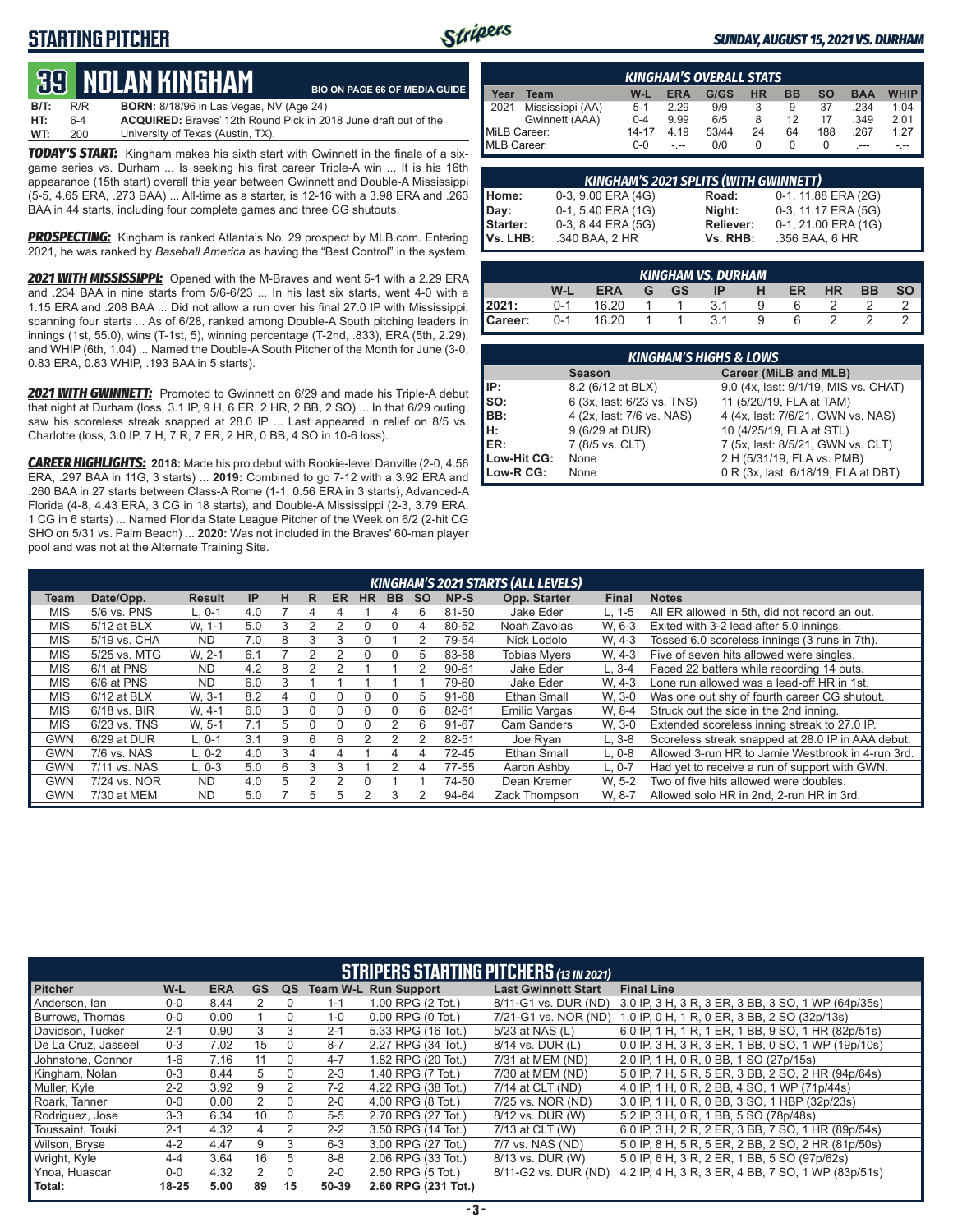### **STARTING PITCHER**



#### *SUNDAY, AUGUST 15, 2021 VS. DURHAM*

# **39****NOLAN KINGHam**

**B/T:** R/R **BORN:** 8/18/96 in Las Vegas, NV (Age 24) **HT:** 6-4 **ACQUIRED:** Braves' 12th Round Pick in 2018 June draft out of the University of Texas (Austin, TX). **BIO ON PAGE 66 OF MEDIA GUIDE**

*TODAY'S START:* Kingham makes his sixth start with Gwinnett in the finale of a sixgame series vs. Durham ... Is seeking his first career Triple-A win ... It is his 16th appearance (15th start) overall this year between Gwinnett and Double-A Mississippi (5-5, 4.65 ERA, .273 BAA) ... All-time as a starter, is 12-16 with a 3.98 ERA and .263 BAA in 44 starts, including four complete games and three CG shutouts.

*PROSPECTING:* Kingham is ranked Atlanta's No. 29 prospect by MLB.com. Entering 2021, he was ranked by *Baseball America* as having the "Best Control" in the system.

*2021 WITH MISSISSIPPI:* Opened with the M-Braves and went 5-1 with a 2.29 ERA and .234 BAA in nine starts from 5/6-6/23 ... In his last six starts, went 4-0 with a 1.15 ERA and .208 BAA ... Did not allow a run over his final 27.0 IP with Mississippi, spanning four starts ... As of 6/28, ranked among Double-A South pitching leaders in innings (1st, 55.0), wins (T-1st, 5), winning percentage (T-2nd, .833), ERA (5th, 2.29), and WHIP (6th, 1.04) ... Named the Double-A South Pitcher of the Month for June (3-0, 0.83 ERA, 0.83 WHIP, .193 BAA in 5 starts).

*2021 WITH GWINNETT:* Promoted to Gwinnett on 6/29 and made his Triple-A debut that night at Durham (loss, 3.1 IP, 9 H, 6 ER, 2 HR, 2 BB, 2 SO) ... In that 6/29 outing, saw his scoreless streak snapped at 28.0 IP ... Last appeared in relief on 8/5 vs. Charlotte (loss, 3.0 IP, 7 H, 7 R, 7 ER, 2 HR, 0 BB, 4 SO in 10-6 loss).

*CAREER HIGHLIGHTS:* **2018:** Made his pro debut with Rookie-level Danville (2-0, 4.56 ERA, .297 BAA in 11G, 3 starts) ... **2019:** Combined to go 7-12 with a 3.92 ERA and .260 BAA in 27 starts between Class-A Rome (1-1, 0.56 ERA in 3 starts), Advanced-A Florida (4-8, 4.43 ERA, 3 CG in 18 starts), and Double-A Mississippi (2-3, 3.79 ERA, 1 CG in 6 starts) ... Named Florida State League Pitcher of the Week on 6/2 (2-hit CG SHO on 5/31 vs. Palm Beach) ... **2020:** Was not included in the Braves' 60-man player pool and was not at the Alternate Training Site.

| <b>KINGHAM'S OVERALL STATS</b> |                  |         |            |       |           |           |           |            |             |  |  |
|--------------------------------|------------------|---------|------------|-------|-----------|-----------|-----------|------------|-------------|--|--|
| Year                           | Team             | $W-L$   | <b>ERA</b> | G/GS  | <b>HR</b> | <b>BB</b> | <b>SO</b> | <b>BAA</b> | <b>WHIP</b> |  |  |
| 12021                          | Mississippi (AA) | $5-1$   | 2.29       | 9/9   |           | 9         | 37        | .234       | 1.04        |  |  |
|                                | Gwinnett (AAA)   | $0 - 4$ | 9.99       | 6/5   |           | 12        | 17        | .349       | 2.01        |  |  |
| MiLB Career:                   |                  | 14-17   | 4.19       | 53/44 | 24        | 64        | 188       | .267       | 1 27        |  |  |
| MLB Career:                    |                  | $0 - 0$ |            | 0/0   |           |           |           | $---$      |             |  |  |

| <b>KINGHAM'S 2021 SPLITS (WITH GWINNETT)</b> |                    |           |                     |  |  |  |  |  |  |  |
|----------------------------------------------|--------------------|-----------|---------------------|--|--|--|--|--|--|--|
|                                              | 0-3, 9.00 ERA (4G) | Road:     | 0-1, 11.88 ERA (2G) |  |  |  |  |  |  |  |
|                                              | 0-1, 5.40 ERA (1G) | Night:    | 0-3, 11.17 ERA (5G) |  |  |  |  |  |  |  |
|                                              | 0-3, 8.44 ERA (5G) | Reliever: | 0-1, 21.00 ERA (1G) |  |  |  |  |  |  |  |
| Home:<br>Day:<br>Starter:<br>Vs. LHB:        | .340 BAA, 2 HR     | Vs. RHB:  | .356 BAA, 6 HR      |  |  |  |  |  |  |  |

| KINGHAM VS. DURHAM' |         |             |  |      |        |   |     |           |           |           |
|---------------------|---------|-------------|--|------|--------|---|-----|-----------|-----------|-----------|
|                     | W-L     | <b>ERA</b>  |  | G GS | $IP$ H |   | ER. | <b>HR</b> | <b>BB</b> | <b>SO</b> |
| 2021:               | $0 - 1$ | 16.20       |  |      | 3.1    | Q | 6   |           |           |           |
| Career:             |         | $0-1$ 16.20 |  | 1 1  | 3.1    | Q | 6   |           |           |           |

| <b>KINGHAM'S HIGHS &amp; LOWS</b> |                            |                                      |  |  |  |  |  |  |  |  |
|-----------------------------------|----------------------------|--------------------------------------|--|--|--|--|--|--|--|--|
|                                   | <b>Season</b>              | Career (MiLB and MLB)                |  |  |  |  |  |  |  |  |
| IP:                               | 8.2 (6/12 at BLX)          | 9.0 (4x, last: 9/1/19, MIS vs. CHAT) |  |  |  |  |  |  |  |  |
| Iso:                              | 6 (3x, last: 6/23 vs. TNS) | 11 (5/20/19, FLA at TAM)             |  |  |  |  |  |  |  |  |
| IBB:                              | 4 (2x, last: 7/6 vs. NAS)  | 4 (4x, last: 7/6/21, GWN vs. NAS)    |  |  |  |  |  |  |  |  |
| IH:                               | 9 (6/29 at DUR)            | 10 (4/25/19, FLA at STL)             |  |  |  |  |  |  |  |  |
| <b>IER:</b>                       | 7 (8/5 vs. CLT)            | 7 (5x, last: 8/5/21, GWN vs. CLT)    |  |  |  |  |  |  |  |  |
| Low-Hit CG:                       | None                       | 2 H (5/31/19, FLA vs. PMB)           |  |  |  |  |  |  |  |  |
| Low-R CG:                         | None                       | 0 R (3x, last: 6/18/19, FLA at DBT)  |  |  |  |  |  |  |  |  |

|            | KINGHAM'S 2021 STARTS (ALL LEVELS) |               |     |   |               |     |           |          |           |           |                     |              |                                                   |
|------------|------------------------------------|---------------|-----|---|---------------|-----|-----------|----------|-----------|-----------|---------------------|--------------|---------------------------------------------------|
| Team       | Date/Opp.                          | <b>Result</b> | IP  | н | R             | ER. | <b>HR</b> | BB.      | <b>SO</b> | NP-S      | Opp. Starter        | <b>Final</b> | <b>Notes</b>                                      |
| <b>MIS</b> | 5/6 vs. PNS                        | $L.0-1$       | 4.0 |   | 4             |     |           | 4        | ิค        | 81-50     | Jake Eder           | $L. 1-5$     | All ER allowed in 5th, did not record an out.     |
| <b>MIS</b> | 5/12 at BLX                        | W. 1-1        | 5.0 |   |               | っ   | 0         | O        | 4         | 80-52     | Noah Zavolas        | W. 6-3       | Exited with 3-2 lead after 5.0 innings.           |
| <b>MIS</b> | 5/19 vs. CHA                       | <b>ND</b>     | 7.0 | 8 | 3             | 3   | $\Omega$  |          |           | 79-54     | Nick Lodolo         | W. 4-3       | Tossed 6.0 scoreless innings (3 runs in 7th).     |
| <b>MIS</b> | 5/25 vs. MTG                       | W. 2-1        | 6.1 |   |               |     | $\Omega$  | 0        | .h        | 83-58     | <b>Tobias Mvers</b> | W. 4-3       | Five of seven hits allowed were singles.          |
| <b>MIS</b> | 6/1 at PNS                         | <b>ND</b>     | 4.2 | 8 |               |     |           |          |           | $90 - 61$ | Jake Eder           | $L.3 - 4$    | Faced 22 batters while recording 14 outs.         |
| <b>MIS</b> | 6/6 at PNS                         | <b>ND</b>     | 6.0 |   |               |     |           |          |           | 79-60     | Jake Eder           | W. 4-3       | Lone run allowed was a lead-off HR in 1st.        |
| <b>MIS</b> | $6/12$ at BLX                      | W. 3-1        | 8.2 | 4 |               |     | 0         | 0        | .h        | 91-68     | Ethan Small         | W. 3-0       | Was one out shy of fourth career CG shutout.      |
| <b>MIS</b> | $6/18$ vs. BIR                     | W. 4-1        | 6.0 | 3 |               |     | $\Omega$  | $\Omega$ | 6         | 82-61     | Emilio Vargas       | W. 8-4       | Struck out the side in the 2nd inning.            |
| <b>MIS</b> | $6/23$ vs. TNS                     | W. 5-1        | 7.1 | 5 |               |     | U         |          | հ         | 91-67     | Cam Sanders         | W. 3-0       | Extended scoreless inning streak to 27.0 IP.      |
| <b>GWN</b> | 6/29 at DUR                        | $L.0-1$       | 3.1 | 9 | 6             | 6   |           |          |           | 82-51     | Joe Rvan            | $L.3-8$      | Scoreless streak snapped at 28.0 IP in AAA debut. |
| <b>GWN</b> | 7/6 vs. NAS                        | $L. 0-2$      | 4.0 | 3 |               |     |           | 4        | 4         | 72-45     | Ethan Small         | $L.0-8$      | Allowed 3-run HR to Jamie Westbrook in 4-run 3rd. |
| <b>GWN</b> | 7/11 vs. NAS                       | $L.0-3$       | 5.0 | 6 | $\mathcal{R}$ | 3   |           | っ        | 4         | 77-55     | Aaron Ashby         | L. 0-7       | Had yet to receive a run of support with GWN.     |
| <b>GWN</b> | 7/24 vs. NOR                       | <b>ND</b>     | 4.0 | 5 |               |     |           |          |           | 74-50     | Dean Kremer         | W. 5-2       | Two of five hits allowed were doubles.            |
| <b>GWN</b> | 7/30 at MEM                        | <b>ND</b>     | 5.0 |   | $\mathcal{L}$ | 5   |           | 3        |           | 94-64     | Zack Thompson       | W. 8-7       | Allowed solo HR in 2nd, 2-run HR in 3rd.          |

| <b>STRIPERS STARTING PITCHERS (13 IN 2021)</b> |           |            |           |          |         |                             |                            |                                                    |  |  |  |
|------------------------------------------------|-----------|------------|-----------|----------|---------|-----------------------------|----------------------------|----------------------------------------------------|--|--|--|
| <b>Pitcher</b>                                 | W-L       | <b>ERA</b> | <b>GS</b> | QS       |         | <b>Team W-L Run Support</b> | <b>Last Gwinnett Start</b> | <b>Final Line</b>                                  |  |  |  |
| Anderson, Ian                                  | $0-0$     | 8.44       |           | 0        | $1 - 1$ | 1.00 RPG (2 Tot.)           | 8/11-G1 vs. DUR (ND)       | 3.0 IP, 3 H, 3 R, 3 ER, 3 BB, 3 SO, 1 WP (64p/35s) |  |  |  |
| Burrows. Thomas                                | $0-0$     | 0.00       |           | $\Omega$ | $1 - 0$ | 0.00 RPG (0 Tot.)           | 7/21-G1 vs. NOR (ND)       | 1.0 IP, 0 H, 1 R, 0 ER, 3 BB, 2 SO (32p/13s)       |  |  |  |
| Davidson. Tucker                               | $2 - 1$   | 0.90       | 3         | 3        | $2 - 1$ | 5.33 RPG (16 Tot.)          | 5/23 at NAS (L)            | 6.0 IP, 1 H, 1 R, 1 ER, 1 BB, 9 SO, 1 HR (82p/51s) |  |  |  |
| De La Cruz, Jasseel                            | $0 - 3$   | 7.02       | 15        | 0        | $8 - 7$ | 2.27 RPG (34 Tot.)          | 8/14 vs. DUR (L)           | 0.0 IP, 3 H, 3 R, 3 ER, 1 BB, 0 SO, 1 WP (19p/10s) |  |  |  |
| Johnstone, Connor                              | $1 - 6$   | 7.16       | 11        | $\Omega$ | $4 - 7$ | 1.82 RPG (20 Tot.)          | 7/31 at MEM (ND)           | 2.0 IP, 1 H, 0 R, 0 BB, 1 SO (27p/15s)             |  |  |  |
| Kingham, Nolan                                 | $0 - 3$   | 8.44       | 5         | 0        | $2 - 3$ | 1.40 RPG (7 Tot.)           | 7/30 at MEM (ND)           | 5.0 IP, 7 H, 5 R, 5 ER, 3 BB, 2 SO, 2 HR (94p/64s) |  |  |  |
| Muller, Kyle                                   | $2 - 2$   | 3.92       | 9         | 2        | $7-2$   | 4.22 RPG (38 Tot.)          | 7/14 at CLT (ND)           | 4.0 IP, 1 H, 0 R, 2 BB, 4 SO, 1 WP (71p/44s)       |  |  |  |
| Roark. Tanner                                  | $0-0$     | 0.00       | 2         | $\Omega$ | $2 - 0$ | 4.00 RPG (8 Tot.)           | 7/25 vs. NOR (ND)          | 3.0 IP, 1 H, 0 R, 0 BB, 3 SO, 1 HBP (32p/23s)      |  |  |  |
| Rodriguez, Jose                                | $3-3$     | 6.34       | 10        | $\Omega$ | $5 - 5$ | 2.70 RPG (27 Tot.)          | 8/12 vs. DUR (W)           | 5.2 IP, 3 H, 0 R, 1 BB, 5 SO (78p/48s)             |  |  |  |
| Toussaint. Touki                               | $2 - 1$   | 4.32       | 4         | 2        | $2 - 2$ | 3.50 RPG (14 Tot.)          | 7/13 at CLT (W)            | 6.0 IP, 3 H, 2 R, 2 ER, 3 BB, 7 SO, 1 HR (89p/54s) |  |  |  |
| Wilson, Bryse                                  | $4 - 2$   | 4.47       | 9         | 3        | $6 - 3$ | 3.00 RPG (27 Tot.)          | 7/7 vs. NAS (ND)           | 5.0 IP, 8 H, 5 R, 5 ER, 2 BB, 2 SO, 2 HR (81p/50s) |  |  |  |
| Wright, Kyle                                   | $4 - 4$   | 3.64       | 16        | 5        | $8 - 8$ | 2.06 RPG (33 Tot.)          | 8/13 vs. DUR (W)           | 5.0 IP, 6 H, 3 R, 2 ER, 1 BB, 5 SO (97p/62s)       |  |  |  |
| Ynoa, Huascar                                  | $0-0$     | 4.32       |           | $\Omega$ | $2 - 0$ | 2.50 RPG (5 Tot.)           | 8/11-G2 vs. DUR (ND)       | 4.2 IP, 4 H, 3 R, 3 ER, 4 BB, 7 SO, 1 WP (83p/51s) |  |  |  |
| Total:                                         | $18 - 25$ | 5.00       | 89        | 15       | 50-39   | 2.60 RPG (231 Tot.)         |                            |                                                    |  |  |  |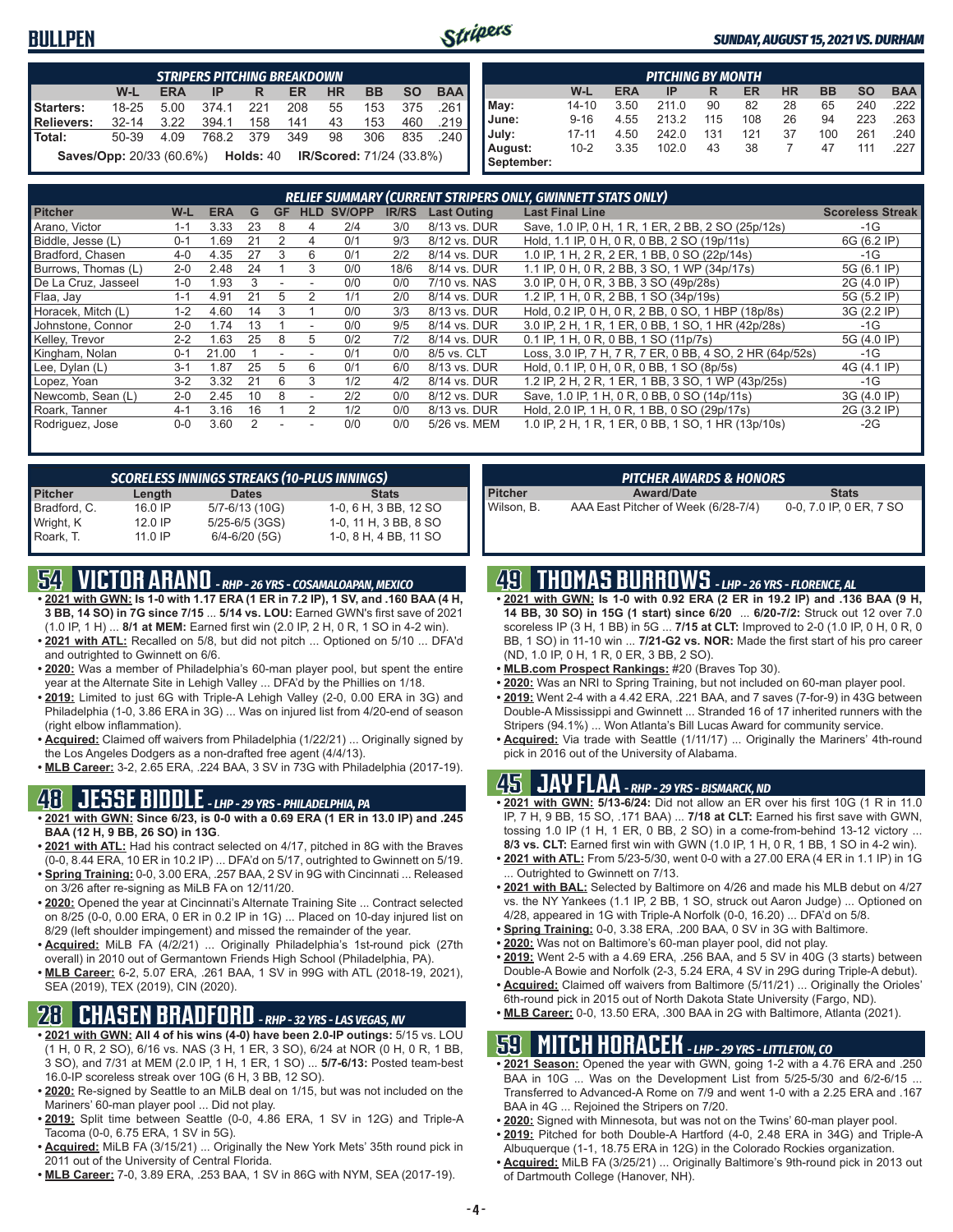#### **BULLPEN**



#### *SUNDAY, AUGUST 15, 2021 VS. DURHAM*

| <b>STRIPERS PITCHING BREAKDOWN</b> |                                                                           |            |           |     |           |           |           |           |            |  |  |
|------------------------------------|---------------------------------------------------------------------------|------------|-----------|-----|-----------|-----------|-----------|-----------|------------|--|--|
|                                    | W-L                                                                       | <b>ERA</b> | IP        | R.  | <b>ER</b> | <b>HR</b> | <b>BB</b> | <b>SO</b> | <b>BAA</b> |  |  |
| Starters:                          | $18 - 25$                                                                 | 5.00       | 374.1     | 221 | 208       | 55        | 153       | 375       | .261       |  |  |
| Relievers:                         | $32 - 14$                                                                 | 3.22       | 394.1     | 158 | 141       | 43        | 153       | 460       | .219       |  |  |
| <b>Total:</b>                      | 50-39                                                                     | 4.09       | 768.2 379 |     | 349       | 98        | 306       | 835       | ا 240.     |  |  |
|                                    | <b>Saves/Opp:</b> 20/33 (60.6%) <b>Holds: 40 IR/Scored: 71/24 (33.8%)</b> |            |           |     |           |           |           |           |            |  |  |

| <b>PITCHING BY MONTH</b> |           |            |       |     |     |           |           |           |            |  |
|--------------------------|-----------|------------|-------|-----|-----|-----------|-----------|-----------|------------|--|
|                          | W-L       | <b>ERA</b> | IP    | R   | ER  | <b>HR</b> | <b>BB</b> | <b>SO</b> | <b>BAA</b> |  |
| May:                     | 14-10     | 3.50       | 211.0 | 90  | 82  | 28        | 65        | 240       | 222        |  |
| June:                    | $9 - 16$  | 4.55       | 213.2 | 115 | 108 | 26        | 94        | 223       | 263        |  |
| July:                    | $17 - 11$ | 4.50       | 242.0 | 131 | 121 | 37        | 100       | 261       | .240       |  |
| August:                  | $10 - 2$  | 3.35       | 102.0 | 43  | 38  |           | 47        | 111       | .227       |  |
| September:               |           |            |       |     |     |           |           |           |            |  |

| RELIEF SUMMARY (CURRENT STRIPERS ONLY, GWINNETT STATS ONLY) |         |            |    |           |            |        |              |                    |                                                          |                         |
|-------------------------------------------------------------|---------|------------|----|-----------|------------|--------|--------------|--------------------|----------------------------------------------------------|-------------------------|
| <b>Pitcher</b>                                              | W-L     | <b>ERA</b> | G  | <b>GF</b> | <b>HLD</b> | SV/OPP | <b>IR/RS</b> | <b>Last Outing</b> | <b>Last Final Line</b>                                   | <b>Scoreless Streak</b> |
| Arano, Victor                                               | 1-1     | 3.33       | 23 | 8         | 4          | 2/4    | 3/0          | 8/13 vs. DUR       | Save, 1.0 IP, 0 H, 1 R, 1 ER, 2 BB, 2 SO (25p/12s)       | $-1G$                   |
| Biddle, Jesse (L)                                           | $0 - 1$ | .69        | 21 |           | 4          | 0/1    | 9/3          | 8/12 vs. DUR       | Hold, 1.1 IP, 0 H, 0 R, 0 BB, 2 SO (19p/11s)             | 6G (6.2 IP)             |
| Bradford, Chasen                                            | $4 - 0$ | 4.35       | 27 | 3         | 6          | 0/1    | 2/2          | 8/14 vs. DUR       | 1.0 IP, 1 H, 2 R, 2 ER, 1 BB, 0 SO (22p/14s)             | $-1G$                   |
| Burrows, Thomas (L)                                         | $2 - 0$ | 2.48       | 24 |           | 3          | 0/0    | 18/6         | 8/14 vs. DUR       | 1.1 IP, 0 H, 0 R, 2 BB, 3 SO, 1 WP (34p/17s)             | 5G (6.1 IP)             |
| De La Cruz, Jasseel                                         | $1 - 0$ | .93        |    |           |            | 0/0    | 0/0          | 7/10 vs. NAS       | 3.0 IP, 0 H, 0 R, 3 BB, 3 SO (49p/28s)                   | 2G (4.0 IP)             |
| Flaa, Jay                                                   | $1 - 1$ | 4.91       |    | 5         |            | 1/1    | 2/0          | 8/14 vs. DUR       | 1.2 IP, 1 H, 0 R, 2 BB, 1 SO (34p/19s)                   | 5G (5.2 IP)             |
| Horacek, Mitch (L)                                          | $1 - 2$ | 4.60       | 14 | 3         |            | 0/0    | 3/3          | 8/13 vs. DUR       | Hold, 0.2 IP, 0 H, 0 R, 2 BB, 0 SO, 1 HBP (18p/8s)       | 3G (2.2 IP)             |
| Johnstone, Connor                                           | $2 - 0$ | 1.74       | 13 |           |            | 0/0    | 9/5          | 8/14 vs. DUR       | 3.0 IP, 2 H, 1 R, 1 ER, 0 BB, 1 SO, 1 HR (42p/28s)       | $-1G$                   |
| Kelley, Trevor                                              | $2 - 2$ | .63        | 25 | 8         | 5          | 0/2    | 7/2          | 8/14 vs. DUR       | 0.1 IP, 1 H, 0 R, 0 BB, 1 SO (11p/7s)                    | 5G (4.0 IP)             |
| Kingham, Nolan                                              | $0 - 1$ | 21.00      |    |           |            | 0/1    | 0/0          | 8/5 vs. CLT        | Loss, 3.0 IP, 7 H, 7 R, 7 ER, 0 BB, 4 SO, 2 HR (64p/52s) | $-1G$                   |
| Lee, Dylan (L)                                              | $3 - 1$ | .87        | 25 |           | 6          | 0/1    | 6/0          | 8/13 vs. DUR       | Hold, 0.1 IP, 0 H, 0 R, 0 BB, 1 SO (8p/5s)               | 4G (4.1 IP)             |
| Lopez, Yoan                                                 | $3 - 2$ | 3.32       | 21 | 6         | 3          | 1/2    | 4/2          | 8/14 vs. DUR       | 1.2 IP, 2 H, 2 R, 1 ER, 1 BB, 3 SO, 1 WP (43p/25s)       | $-1G$                   |
| Newcomb, Sean (L)                                           | $2 - 0$ | 2.45       | 10 | 8         |            | 2/2    | 0/0          | 8/12 vs. DUR       | Save, 1.0 IP, 1 H, 0 R, 0 BB, 0 SO (14p/11s)             | 3G (4.0 IP)             |
| Roark, Tanner                                               | $4 - 1$ | 3.16       | 16 |           |            | 1/2    | 0/0          | 8/13 vs. DUR       | Hold, 2.0 IP, 1 H, 0 R, 1 BB, 0 SO (29p/17s)             | 2G (3.2 IP)             |
| Rodriguez, Jose                                             | $0 - 0$ | 3.60       |    |           |            | 0/0    | 0/0          | 5/26 vs. MEM       | 1.0 IP, 2 H, 1 R, 1 ER, 0 BB, 1 SO, 1 HR (13p/10s)       | $-2G$                   |

| <b>SCORELESS INNINGS STREAKS (10-PLUS INNINGS)</b> |         |                    |                       |  |  |  |  |  |  |  |
|----------------------------------------------------|---------|--------------------|-----------------------|--|--|--|--|--|--|--|
| <b>Pitcher</b>                                     | Length  | <b>Dates</b>       | <b>Stats</b>          |  |  |  |  |  |  |  |
| Bradford, C.                                       | 16.0 IP | 5/7-6/13 (10G)     | 1-0, 6 H, 3 BB, 12 SO |  |  |  |  |  |  |  |
| Wright, K                                          | 12.0 IP | $5/25 - 6/5$ (3GS) | 1-0, 11 H, 3 BB, 8 SO |  |  |  |  |  |  |  |
| Roark. T.                                          | 11.0 IP | $6/4 - 6/20$ (5G)  | 1-0, 8 H, 4 BB, 11 SO |  |  |  |  |  |  |  |

## **54 VICTOR ARANO** *- RHP - 26 YRS - COSAMALOAPAN, MEXICO*

- **• 2021 with GWN: Is 1-0 with 1.17 ERA (1 ER in 7.2 IP), 1 SV, and .160 BAA (4 H, 3 BB, 14 SO) in 7G since 7/15** ... **5/14 vs. LOU:** Earned GWN's first save of 2021 (1.0 IP, 1 H) ... **8/1 at MEM:** Earned first win (2.0 IP, 2 H, 0 R, 1 SO in 4-2 win).
- **• 2021 with ATL:** Recalled on 5/8, but did not pitch ... Optioned on 5/10 ... DFA'd and outrighted to Gwinnett on 6/6.
- **• 2020:** Was a member of Philadelphia's 60-man player pool, but spent the entire year at the Alternate Site in Lehigh Valley ... DFA'd by the Phillies on 1/18.
- **• 2019:** Limited to just 6G with Triple-A Lehigh Valley (2-0, 0.00 ERA in 3G) and Philadelphia (1-0, 3.86 ERA in 3G) ... Was on injured list from 4/20-end of season (right elbow inflammation).
- **• Acquired:** Claimed off waivers from Philadelphia (1/22/21) ... Originally signed by the Los Angeles Dodgers as a non-drafted free agent (4/4/13).
- **• MLB Career:** 3-2, 2.65 ERA, .224 BAA, 3 SV in 73G with Philadelphia (2017-19).

#### **48 JESSE BIDDLE** *- LHP - 29 YRS - PHILADELPHIA, PA*

- **• 2021 with GWN: Since 6/23, is 0-0 with a 0.69 ERA (1 ER in 13.0 IP) and .245 BAA (12 H, 9 BB, 26 SO) in 13G**.
- **• 2021 with ATL:** Had his contract selected on 4/17, pitched in 8G with the Braves (0-0, 8.44 ERA, 10 ER in 10.2 IP) ... DFA'd on 5/17, outrighted to Gwinnett on 5/19. **• Spring Training:** 0-0, 3.00 ERA, .257 BAA, 2 SV in 9G with Cincinnati ... Released
- on 3/26 after re-signing as MiLB FA on 12/11/20.
- **• 2020:** Opened the year at Cincinnati's Alternate Training Site ... Contract selected on 8/25 (0-0, 0.00 ERA, 0 ER in 0.2 IP in 1G) ... Placed on 10-day injured list on 8/29 (left shoulder impingement) and missed the remainder of the year.
- **• Acquired:** MiLB FA (4/2/21) ... Originally Philadelphia's 1st-round pick (27th overall) in 2010 out of Germantown Friends High School (Philadelphia, PA).
- **• MLB Career:** 6-2, 5.07 ERA, .261 BAA, 1 SV in 99G with ATL (2018-19, 2021), SEA (2019), TEX (2019), CIN (2020).

## **28 CHASEN BRADFORD** *- RHP - 32 YRS - LAS VEGAS, NV*

- **• 2021 with GWN: All 4 of his wins (4-0) have been 2.0-IP outings:** 5/15 vs. LOU (1 H, 0 R, 2 SO), 6/16 vs. NAS (3 H, 1 ER, 3 SO), 6/24 at NOR (0 H, 0 R, 1 BB, 3 SO), and 7/31 at MEM (2.0 IP, 1 H, 1 ER, 1 SO) ... **5/7-6/13:** Posted team-best 16.0-IP scoreless streak over 10G (6 H, 3 BB, 12 SO).
- **• 2020:** Re-signed by Seattle to an MiLB deal on 1/15, but was not included on the Mariners' 60-man player pool ... Did not play.
- **• 2019:** Split time between Seattle (0-0, 4.86 ERA, 1 SV in 12G) and Triple-A Tacoma (0-0, 6.75 ERA, 1 SV in 5G).
- **• Acquired:** MiLB FA (3/15/21) ... Originally the New York Mets' 35th round pick in 2011 out of the University of Central Florida.
- **• MLB Career:** 7-0, 3.89 ERA, .253 BAA, 1 SV in 86G with NYM, SEA (2017-19).

| <b>PITCHER AWARDS &amp; HONORS</b> |                                     |                         |  |  |  |  |  |  |
|------------------------------------|-------------------------------------|-------------------------|--|--|--|--|--|--|
| <b>Pitcher</b>                     | <b>Award/Date</b>                   | <b>Stats</b>            |  |  |  |  |  |  |
| Wilson, B.                         | AAA East Pitcher of Week (6/28-7/4) | 0-0, 7.0 IP, 0 ER, 7 SO |  |  |  |  |  |  |

## **49 THOMAS BURROWS** *- LHP - 26 YRS - FLORENCE, AL*

- **• 2021 with GWN: Is 1-0 with 0.92 ERA (2 ER in 19.2 IP) and .136 BAA (9 H, 14 BB, 30 SO) in 15G (1 start) since 6/20** ... **6/20-7/2:** Struck out 12 over 7.0 scoreless IP (3 H, 1 BB) in 5G ... **7/15 at CLT:** Improved to 2-0 (1.0 IP, 0 H, 0 R, 0 BB, 1 SO) in 11-10 win ... **7/21-G2 vs. NOR:** Made the first start of his pro career (ND, 1.0 IP, 0 H, 1 R, 0 ER, 3 BB, 2 SO).
- **• MLB.com Prospect Rankings:** #20 (Braves Top 30).
- **• 2020:** Was an NRI to Spring Training, but not included on 60-man player pool.
- **• 2019:** Went 2-4 with a 4.42 ERA, .221 BAA, and 7 saves (7-for-9) in 43G between Double-A Mississippi and Gwinnett ... Stranded 16 of 17 inherited runners with the Stripers (94.1%) ... Won Atlanta's Bill Lucas Award for community service.
- **• Acquired:** Via trade with Seattle (1/11/17) ... Originally the Mariners' 4th-round pick in 2016 out of the University of Alabama.

#### **45 JAY FLAA** *- RHP - 29 YRS - BISMARCK, ND*

- **• 2021 with GWN: 5/13-6/24:** Did not allow an ER over his first 10G (1 R in 11.0 IP, 7 H, 9 BB, 15 SO, .171 BAA) ... **7/18 at CLT:** Earned his first save with GWN, tossing 1.0 IP (1 H, 1 ER, 0 BB, 2 SO) in a come-from-behind 13-12 victory ... **8/3 vs. CLT:** Earned first win with GWN (1.0 IP, 1 H, 0 R, 1 BB, 1 SO in 4-2 win).
- **• 2021 with ATL:** From 5/23-5/30, went 0-0 with a 27.00 ERA (4 ER in 1.1 IP) in 1G Outrighted to Gwinnett on 7/13.
- **• 2021 with BAL:** Selected by Baltimore on 4/26 and made his MLB debut on 4/27 vs. the NY Yankees (1.1 IP, 2 BB, 1 SO, struck out Aaron Judge) ... Optioned on 4/28, appeared in 1G with Triple-A Norfolk (0-0, 16.20) ... DFA'd on 5/8.
- **• Spring Training:** 0-0, 3.38 ERA, .200 BAA, 0 SV in 3G with Baltimore.
- **• 2020:** Was not on Baltimore's 60-man player pool, did not play.
- **• 2019:** Went 2-5 with a 4.69 ERA, .256 BAA, and 5 SV in 40G (3 starts) between Double-A Bowie and Norfolk (2-3, 5.24 ERA, 4 SV in 29G during Triple-A debut).
- **• Acquired:** Claimed off waivers from Baltimore (5/11/21) ... Originally the Orioles' 6th-round pick in 2015 out of North Dakota State University (Fargo, ND).
- **• MLB Career:** 0-0, 13.50 ERA, .300 BAA in 2G with Baltimore, Atlanta (2021).

## **59 MITCH HORACEK** *- LHP - 29 YRS - LITTLETON, CO*

- **• 2021 Season:** Opened the year with GWN, going 1-2 with a 4.76 ERA and .250 BAA in 10G ... Was on the Development List from 5/25-5/30 and 6/2-6/15 ... Transferred to Advanced-A Rome on 7/9 and went 1-0 with a 2.25 ERA and .167 BAA in 4G ... Rejoined the Stripers on 7/20.
- **• 2020:** Signed with Minnesota, but was not on the Twins' 60-man player pool.
- **• 2019:** Pitched for both Double-A Hartford (4-0, 2.48 ERA in 34G) and Triple-A Albuquerque (1-1, 18.75 ERA in 12G) in the Colorado Rockies organization.
- **• Acquired:** MiLB FA (3/25/21) ... Originally Baltimore's 9th-round pick in 2013 out of Dartmouth College (Hanover, NH).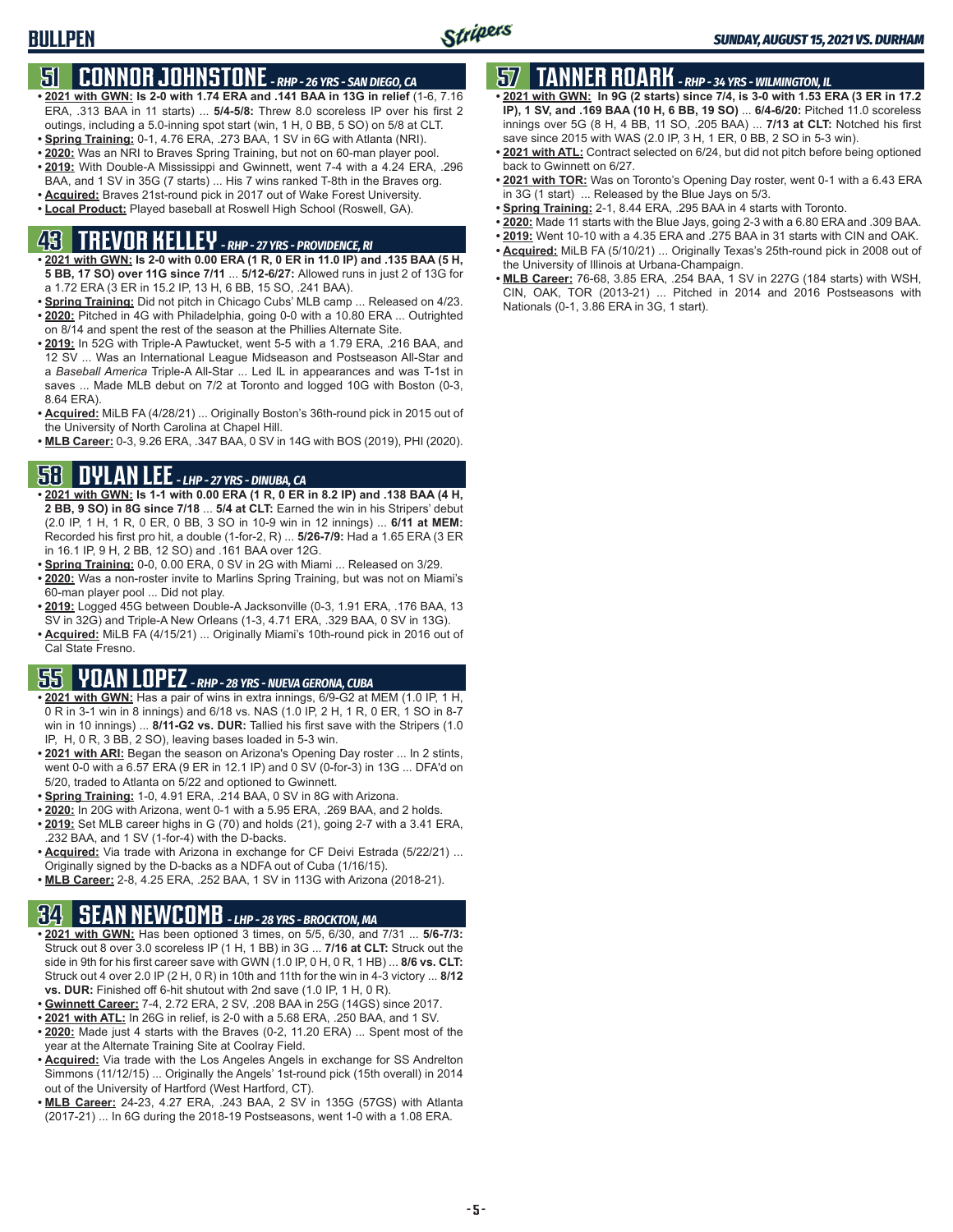## **51 CONNOR JOHNSTONE** *- RHP - 26 YRS - SAN DIEGO, CA*

- **• 2021 with GWN: Is 2-0 with 1.74 ERA and .141 BAA in 13G in relief** (1-6, 7.16 ERA, .313 BAA in 11 starts) ... **5/4-5/8:** Threw 8.0 scoreless IP over his first 2 outings, including a 5.0-inning spot start (win, 1 H, 0 BB, 5 SO) on 5/8 at CLT.
- **• Spring Training:** 0-1, 4.76 ERA, .273 BAA, 1 SV in 6G with Atlanta (NRI).
- **• 2020:** Was an NRI to Braves Spring Training, but not on 60-man player pool.
- **• 2019:** With Double-A Mississippi and Gwinnett, went 7-4 with a 4.24 ERA, .296 BAA, and 1 SV in 35G (7 starts) ... His 7 wins ranked T-8th in the Braves org.
- **• Acquired:** Braves 21st-round pick in 2017 out of Wake Forest University.
- **• Local Product:** Played baseball at Roswell High School (Roswell, GA).

## **43 TREVOR KELLEY** *- RHP - 27 YRS - PROVIDENCE, RI*

- **• 2021 with GWN: Is 2-0 with 0.00 ERA (1 R, 0 ER in 11.0 IP) and .135 BAA (5 H, 5 BB, 17 SO) over 11G since 7/11** ... **5/12-6/27:** Allowed runs in just 2 of 13G for a 1.72 ERA (3 ER in 15.2 IP, 13 H, 6 BB, 15 SO, .241 BAA).
- **• Spring Training:** Did not pitch in Chicago Cubs' MLB camp ... Released on 4/23. **• 2020:** Pitched in 4G with Philadelphia, going 0-0 with a 10.80 ERA ... Outrighted on 8/14 and spent the rest of the season at the Phillies Alternate Site.
- **• 2019:** In 52G with Triple-A Pawtucket, went 5-5 with a 1.79 ERA, .216 BAA, and 12 SV ... Was an International League Midseason and Postseason All-Star and a *Baseball America* Triple-A All-Star ... Led IL in appearances and was T-1st in saves ... Made MLB debut on 7/2 at Toronto and logged 10G with Boston (0-3, 8.64 ERA).
- **• Acquired:** MiLB FA (4/28/21) ... Originally Boston's 36th-round pick in 2015 out of the University of North Carolina at Chapel Hill.
- **• MLB Career:** 0-3, 9.26 ERA, .347 BAA, 0 SV in 14G with BOS (2019), PHI (2020).

## **58 DYLAN LEE** *- LHP - 27 YRS - DINUBA, CA*

- **• 2021 with GWN: Is 1-1 with 0.00 ERA (1 R, 0 ER in 8.2 IP) and .138 BAA (4 H, 2 BB, 9 SO) in 8G since 7/18** ... **5/4 at CLT:** Earned the win in his Stripers' debut (2.0 IP, 1 H, 1 R, 0 ER, 0 BB, 3 SO in 10-9 win in 12 innings) ... **6/11 at MEM:** Recorded his first pro hit, a double (1-for-2, R) ... **5/26-7/9:** Had a 1.65 ERA (3 ER in 16.1 IP, 9 H, 2 BB, 12 SO) and .161 BAA over 12G.
- **• Spring Training:** 0-0, 0.00 ERA, 0 SV in 2G with Miami ... Released on 3/29.
- **• 2020:** Was a non-roster invite to Marlins Spring Training, but was not on Miami's 60-man player pool ... Did not play.
- **• 2019:** Logged 45G between Double-A Jacksonville (0-3, 1.91 ERA, .176 BAA, 13 SV in 32G) and Triple-A New Orleans (1-3, 4.71 ERA, .329 BAA, 0 SV in 13G).
- **• Acquired:** MiLB FA (4/15/21) ... Originally Miami's 10th-round pick in 2016 out of Cal State Fresno.

## **55 YOAN LOPEZ** *- RHP - 28 YRS - NUEVA GERONA, CUBA*

- **• 2021 with GWN:** Has a pair of wins in extra innings, 6/9-G2 at MEM (1.0 IP, 1 H, 0 R in 3-1 win in 8 innings) and 6/18 vs. NAS (1.0 IP, 2 H, 1 R, 0 ER, 1 SO in 8-7 win in 10 innings) ... **8/11-G2 vs. DUR:** Tallied his first save with the Stripers (1.0 IP, H, 0 R, 3 BB, 2 SO), leaving bases loaded in 5-3 win.
- **• 2021 with ARI:** Began the season on Arizona's Opening Day roster ... In 2 stints, went 0-0 with a 6.57 ERA (9 ER in 12.1 IP) and 0 SV (0-for-3) in 13G ... DFA'd on 5/20, traded to Atlanta on 5/22 and optioned to Gwinnett.
- **• Spring Training:** 1-0, 4.91 ERA, .214 BAA, 0 SV in 8G with Arizona.
- **• 2020:** In 20G with Arizona, went 0-1 with a 5.95 ERA, .269 BAA, and 2 holds.
- **• 2019:** Set MLB career highs in G (70) and holds (21), going 2-7 with a 3.41 ERA, .232 BAA, and 1 SV (1-for-4) with the D-backs.
- **• Acquired:** Via trade with Arizona in exchange for CF Deivi Estrada (5/22/21) ... Originally signed by the D-backs as a NDFA out of Cuba (1/16/15).
- **• MLB Career:** 2-8, 4.25 ERA, .252 BAA, 1 SV in 113G with Arizona (2018-21).

## **34 SEAN NEWCOMB** *- LHP - 28 YRS - BROCKTON, MA*

- **• 2021 with GWN:** Has been optioned 3 times, on 5/5, 6/30, and 7/31 ... **5/6-7/3:** Struck out 8 over 3.0 scoreless IP (1 H, 1 BB) in 3G ... **7/16 at CLT:** Struck out the side in 9th for his first career save with GWN (1.0 IP, 0 H, 0 R, 1 HB) ... **8/6 vs. CLT:** Struck out 4 over 2.0 IP (2 H, 0 R) in 10th and 11th for the win in 4-3 victory ... **8/12 vs. DUR:** Finished off 6-hit shutout with 2nd save (1.0 IP, 1 H, 0 R).
- **• Gwinnett Career:** 7-4, 2.72 ERA, 2 SV, .208 BAA in 25G (14GS) since 2017.
- **• 2021 with ATL:** In 26G in relief, is 2-0 with a 5.68 ERA, .250 BAA, and 1 SV.
- **• 2020:** Made just 4 starts with the Braves (0-2, 11.20 ERA) ... Spent most of the year at the Alternate Training Site at Coolray Field.
- **• Acquired:** Via trade with the Los Angeles Angels in exchange for SS Andrelton Simmons (11/12/15) ... Originally the Angels' 1st-round pick (15th overall) in 2014 out of the University of Hartford (West Hartford, CT).
- **• MLB Career:** 24-23, 4.27 ERA, .243 BAA, 2 SV in 135G (57GS) with Atlanta (2017-21) ... In 6G during the 2018-19 Postseasons, went 1-0 with a 1.08 ERA.

## **57 TANNER ROARK** *- RHP - 34 YRS - WILMINGTON, IL*

- **• 2021 with GWN: In 9G (2 starts) since 7/4, is 3-0 with 1.53 ERA (3 ER in 17.2 IP), 1 SV, and .169 BAA (10 H, 6 BB, 19 SO)** ... **6/4-6/20:** Pitched 11.0 scoreless innings over 5G (8 H, 4 BB, 11 SO, .205 BAA) ... **7/13 at CLT:** Notched his first save since 2015 with WAS (2.0 IP, 3 H, 1 ER, 0 BB, 2 SO in 5-3 win).
- **• 2021 with ATL:** Contract selected on 6/24, but did not pitch before being optioned back to Gwinnett on 6/27.
- **• 2021 with TOR:** Was on Toronto's Opening Day roster, went 0-1 with a 6.43 ERA in 3G (1 start) ... Released by the Blue Jays on 5/3.
- **• Spring Training:** 2-1, 8.44 ERA, .295 BAA in 4 starts with Toronto.
- **• 2020:** Made 11 starts with the Blue Jays, going 2-3 with a 6.80 ERA and .309 BAA.
- **• 2019:** Went 10-10 with a 4.35 ERA and .275 BAA in 31 starts with CIN and OAK.
- **• Acquired:** MiLB FA (5/10/21) ... Originally Texas's 25th-round pick in 2008 out of the University of Illinois at Urbana-Champaign.
- **• MLB Career:** 76-68, 3.85 ERA, .254 BAA, 1 SV in 227G (184 starts) with WSH, CIN, OAK, TOR (2013-21) ... Pitched in 2014 and 2016 Postseasons with Nationals (0-1, 3.86 ERA in 3G, 1 start).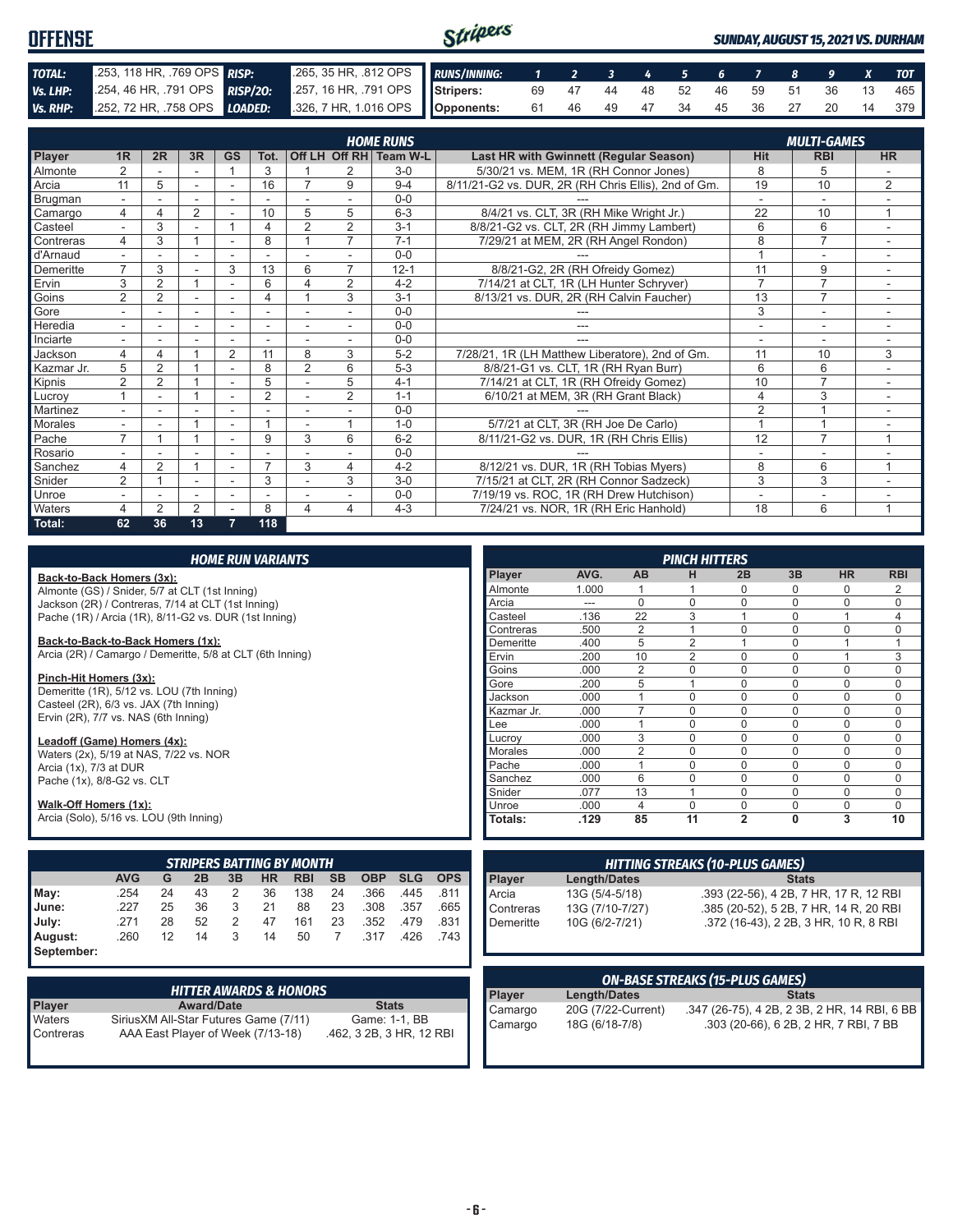| <b>OFFENSE</b> |                                                                      |                                                                 | Stripers |  |  |  |  |  |                               | <b>SUNDAY, AUGUST 15, 2021 VS. DURHAM</b> |  |  |  |     |  |  |  |  |  |  |
|----------------|----------------------------------------------------------------------|-----------------------------------------------------------------|----------|--|--|--|--|--|-------------------------------|-------------------------------------------|--|--|--|-----|--|--|--|--|--|--|
| TOTAL:         | 253, 118 HR, 769 OPS RISP:                                           | 265, 35 HR, 812 OPS RUNS/INNING: 1 2 3 4 5 6 7 8 9 X TOT        |          |  |  |  |  |  |                               |                                           |  |  |  |     |  |  |  |  |  |  |
| Vs. LHP:       | 254, 46 HR, 791 OPS RISP/20:                                         | 257, 16 HR, 791 OPS Stripers: 69 47 44 48 52 46 59 51 36 13 465 |          |  |  |  |  |  |                               |                                           |  |  |  |     |  |  |  |  |  |  |
|                | Vs. RHP: 252, 72 HR, 758 OPS LOADED: 326, 7 HR, 1.016 OPS Opponents: |                                                                 |          |  |  |  |  |  | 61 46 49 47 34 45 36 27 20 14 |                                           |  |  |  | 379 |  |  |  |  |  |  |

|            | <b>HOME RUNS</b><br><b>MULTI-GAMES</b> |                |                |                          |                |                          |                |                        |                                                     |                |                |                |
|------------|----------------------------------------|----------------|----------------|--------------------------|----------------|--------------------------|----------------|------------------------|-----------------------------------------------------|----------------|----------------|----------------|
| Player     | 1 <sub>R</sub>                         | 2R             | 3R             | GS                       | Tot.           |                          |                | Off LH Off RH Team W-L | Last HR with Gwinnett (Regular Season)              | <b>Hit</b>     | <b>RBI</b>     | <b>HR</b>      |
| Almonte    | $\overline{2}$                         |                | ۰              |                          | 3              |                          | 2              | $3-0$                  | 5/30/21 vs. MEM, 1R (RH Connor Jones)               | 8              | 5              |                |
| Arcia      | 11                                     | 5              |                | ۰                        | 16             | 7                        | 9              | $9 - 4$                | 8/11/21-G2 vs. DUR, 2R (RH Chris Ellis), 2nd of Gm. | 19             | 10             | $\overline{2}$ |
| Brugman    | $\sim$                                 |                | ٠              | $\overline{\phantom{a}}$ |                |                          | $\sim$         | $0 - 0$                |                                                     | $\sim$         | $\sim$         |                |
| Camargo    | 4                                      | 4              | 2              |                          | 10             | 5                        | 5              | $6 - 3$                | 8/4/21 vs. CLT, 3R (RH Mike Wright Jr.)             | 22             | 10             | $\mathbf{1}$   |
| Casteel    |                                        | 3              |                |                          | 4              | $\overline{2}$           | $\overline{2}$ | $3 - 1$                | 8/8/21-G2 vs. CLT, 2R (RH Jimmy Lambert)            | 6              | 6              |                |
| Contreras  | 4                                      | 3              |                | $\overline{a}$           | 8              |                          | $\overline{7}$ | $7 - 1$                | 7/29/21 at MEM, 2R (RH Angel Rondon)                | 8              | $\overline{7}$ |                |
| d'Arnaud   |                                        |                |                | $\overline{\phantom{a}}$ |                |                          |                | $0 - 0$                |                                                     |                | ٠              | ۰              |
| Demeritte  | $\overline{7}$                         | 3              |                | 3                        | 13             | 6                        | $\overline{7}$ | $12 - 1$               | 8/8/21-G2, 2R (RH Ofreidy Gomez)                    | 11             | 9              |                |
| Ervin      | 3                                      | 2              |                | $\overline{\phantom{a}}$ | 6              | $\Delta$                 | $\overline{2}$ | $4 - 2$                | 7/14/21 at CLT, 1R (LH Hunter Schryver)             | $\overline{7}$ | $\overline{7}$ | ٠              |
| Goins      | $\overline{2}$                         | $\overline{2}$ |                |                          | 4              |                          | 3              | $3 - 1$                | 8/13/21 vs. DUR, 2R (RH Calvin Faucher)             | 13             | $\overline{7}$ |                |
| Gore       |                                        |                | ۰              |                          |                |                          |                | $0 - 0$                |                                                     | 3              | $\overline{a}$ |                |
| Heredia    | $\sim$                                 |                | ۰              | ۰                        | ۰              |                          |                | $0 - 0$                |                                                     |                | ۰              |                |
| Inciarte   | $\overline{\phantom{0}}$               |                |                | $\overline{\phantom{a}}$ |                |                          |                | $0 - 0$                |                                                     | ٠              | ٠              |                |
| Jackson    | 4                                      | 4              |                | 2                        | 11             | 8                        | 3              | $5 - 2$                | 7/28/21, 1R (LH Matthew Liberatore), 2nd of Gm.     | 11             | 10             | 3              |
| Kazmar Jr. | 5                                      | $\overline{2}$ |                |                          | 8              | $\overline{2}$           | 6              | $5 - 3$                | 8/8/21-G1 vs. CLT, 1R (RH Ryan Burr)                | 6              | 6              |                |
| Kipnis     | $\overline{2}$                         | $\overline{2}$ |                | ٠                        | 5              |                          | 5              | $4 - 1$                | 7/14/21 at CLT, 1R (RH Ofreidy Gomez)               | 10             | $\overline{7}$ | $\sim$         |
| Lucroy     |                                        |                |                | ۰                        | $\overline{2}$ |                          | $\overline{2}$ | $1 - 1$                | 6/10/21 at MEM, 3R (RH Grant Black)                 | 4              | 3              | ٠              |
| Martinez   |                                        |                |                |                          |                |                          |                | $0 - 0$                |                                                     | $\overline{2}$ |                |                |
| Morales    | $\sim$                                 |                |                | ۰                        |                | $\overline{\phantom{a}}$ |                | $1 - 0$                | 5/7/21 at CLT, 3R (RH Joe De Carlo)                 |                |                | $\sim$         |
| Pache      | $\overline{7}$                         |                |                |                          | 9              | 3                        | 6              | $6 - 2$                | 8/11/21-G2 vs. DUR, 1R (RH Chris Ellis)             | 12             | $\overline{7}$ | $\overline{ }$ |
| Rosario    |                                        |                |                |                          |                |                          |                | $0 - 0$                |                                                     |                | ٠              |                |
| Sanchez    | 4                                      | $\overline{2}$ |                |                          | $\overline{ }$ | 3                        | 4              | $4 - 2$                | 8/12/21 vs. DUR, 1R (RH Tobias Myers)               | 8              | 6              | $\overline{ }$ |
| Snider     | $\overline{2}$                         |                |                | $\sim$                   | 3              |                          | 3              | $3-0$                  | 7/15/21 at CLT, 2R (RH Connor Sadzeck)              | 3              | 3              |                |
| Unroe      | $\overline{\phantom{a}}$               |                | ٠              | $\overline{\phantom{a}}$ | ٠              |                          |                | $0 - 0$                | 7/19/19 vs. ROC, 1R (RH Drew Hutchison)             | $\blacksquare$ | ٠              | ٠              |
| Waters     | 4                                      | $\overline{2}$ | $\overline{2}$ |                          | 8              | Δ                        | 4              | $4 - 3$                | 7/24/21 vs. NOR, 1R (RH Eric Hanhold)               | 18             | 6              |                |
| Total:     | 62                                     | 36             | 13             | 7                        | 118            |                          |                |                        |                                                     |                |                |                |

|                                                                                     |            |    |    |    | <b>HOME RUN VARIANTS</b>          |            |                |                   |            |            |                |                     |                | <b>PINCH HITTERS</b> |                                        |              |                |                |
|-------------------------------------------------------------------------------------|------------|----|----|----|-----------------------------------|------------|----------------|-------------------|------------|------------|----------------|---------------------|----------------|----------------------|----------------------------------------|--------------|----------------|----------------|
| Back-to-Back Homers (3x):                                                           |            |    |    |    |                                   |            |                |                   |            |            | Player         | AVG.                | AB             | н                    | 2B                                     | 3B           | <b>HR</b>      | <b>RBI</b>     |
| Almonte (GS) / Snider, 5/7 at CLT (1st Inning)                                      |            |    |    |    |                                   |            |                |                   |            |            | Almonte        | 1.000               |                |                      | $\Omega$                               |              | 0              | 2              |
| Jackson (2R) / Contreras, 7/14 at CLT (1st Inning)                                  |            |    |    |    |                                   |            |                |                   |            |            | Arcia          | $---$               | $\Omega$       | $\Omega$             | $\Omega$                               | $\Omega$     | $\Omega$       | $\Omega$       |
| Pache (1R) / Arcia (1R), 8/11-G2 vs. DUR (1st Inning)                               |            |    |    |    |                                   |            |                |                   |            |            | Casteel        | .136                | 22             | 3                    |                                        | $\Omega$     |                | 4              |
|                                                                                     |            |    |    |    |                                   |            |                |                   |            |            | Contreras      | .500                | $\overline{2}$ |                      | $\Omega$                               | $\Omega$     | $\Omega$       | 0              |
| Back-to-Back-to-Back Homers (1x):                                                   |            |    |    |    |                                   |            |                |                   |            |            | Demeritte      | .400                | 5              | $\overline{2}$       | 1                                      | $\Omega$     |                | $\overline{1}$ |
| Arcia (2R) / Camargo / Demeritte, 5/8 at CLT (6th Inning)                           |            |    |    |    |                                   |            |                |                   |            |            | Ervin          | .200                | 10             | $\overline{2}$       | $\Omega$                               | $\Omega$     |                | 3              |
|                                                                                     |            |    |    |    |                                   |            |                |                   |            |            | Goins          | .000                | $\overline{2}$ | $\Omega$             | $\overline{0}$                         | $\Omega$     | $\mathbf 0$    | 0              |
| Pinch-Hit Homers (3x):                                                              |            |    |    |    |                                   |            |                |                   |            |            | Gore           | .200                | 5              |                      | $\mathbf 0$                            | $\Omega$     | $\mathbf 0$    | $\mathbf 0$    |
| Demeritte (1R), 5/12 vs. LOU (7th Inning)<br>Casteel (2R), 6/3 vs. JAX (7th Inning) |            |    |    |    |                                   |            |                |                   |            |            | Jackson        | .000                |                | $\Omega$             | $\Omega$                               | $\Omega$     | $\mathbf 0$    | $\mathbf 0$    |
| Ervin (2R), 7/7 vs. NAS (6th Inning)                                                |            |    |    |    |                                   |            |                |                   |            |            | Kazmar Jr.     | .000                | $\overline{7}$ | $\Omega$             | $\Omega$                               | $\Omega$     | $\Omega$       | $\Omega$       |
|                                                                                     |            |    |    |    |                                   |            |                |                   |            |            | Lee            | .000                |                | $\mathbf 0$          | $\Omega$                               | $\Omega$     | 0              | 0              |
| Leadoff (Game) Homers (4x):                                                         |            |    |    |    |                                   |            |                |                   |            |            | Lucrov         | .000                | 3              | $\Omega$             | $\Omega$                               | <sup>0</sup> | $\mathbf 0$    | 0              |
| Waters (2x), 5/19 at NAS, 7/22 vs. NOR                                              |            |    |    |    |                                   |            |                |                   |            |            | <b>Morales</b> | .000                | $\overline{2}$ | $\Omega$             | $\Omega$                               | $\Omega$     | $\mathbf 0$    | $\mathbf 0$    |
| Arcia (1x), 7/3 at DUR                                                              |            |    |    |    |                                   |            |                |                   |            |            | Pache          | .000                |                | $\Omega$             | $\Omega$                               | $\Omega$     | $\mathbf 0$    | $\mathbf 0$    |
| Pache (1x), 8/8-G2 vs. CLT                                                          |            |    |    |    |                                   |            |                |                   |            |            | Sanchez        | .000                | 6              | $\Omega$             | $\Omega$                               | $\Omega$     | $\mathbf 0$    | $\Omega$       |
|                                                                                     |            |    |    |    |                                   |            |                |                   |            |            | Snider         | .077                | 13             |                      | 0                                      | $\Omega$     | $\mathbf 0$    | $\mathbf 0$    |
| Walk-Off Homers (1x):                                                               |            |    |    |    |                                   |            |                |                   |            |            | Unroe          | .000                | $\overline{4}$ | 0                    | $\Omega$                               | $\Omega$     | $\mathbf 0$    | $\mathbf 0$    |
| Arcia (Solo), 5/16 vs. LOU (9th Inning)                                             |            |    |    |    |                                   |            |                |                   |            |            | Totals:        | .129                | 85             | 11                   | $\overline{2}$                         | $\mathbf{0}$ | $\overline{3}$ | 10             |
|                                                                                     |            |    |    |    | <b>STRIPERS BATTING BY MONTH</b>  |            |                |                   |            |            |                |                     |                |                      |                                        |              |                |                |
|                                                                                     | <b>AVG</b> |    |    | 3B |                                   |            |                |                   |            |            |                |                     |                |                      | <b>HITTING STREAKS (10-PLUS GAMES)</b> |              |                |                |
|                                                                                     |            | G  | 2B |    | <b>HR</b>                         | <b>RBI</b> | <b>SB</b>      | <b>OBP</b>        | <b>SLG</b> | <b>OPS</b> | Player         | <b>Length/Dates</b> |                |                      |                                        | <b>Stats</b> |                |                |
| May:                                                                                | .254       | 24 | 43 | 2  | 36                                | 138        | 24             | .366              | .445       | .811       | Arcia          | 13G (5/4-5/18)      |                |                      | .393 (22-56), 4 2B, 7 HR, 17 R, 12 RBI |              |                |                |
| June:                                                                               | .227       | 25 | 36 | 3  | 21                                | 88         | 23             | .308              | .357       | .665       | Contreras      | 13G (7/10-7/27)     |                |                      | .385 (20-52), 5 2B, 7 HR, 14 R, 20 RBI |              |                |                |
| July:                                                                               | .271       | 28 | 52 | 2  | 47                                | 161        | 23             | .352              | .479       | .831       | Demeritte      | 10G (6/2-7/21)      |                |                      | .372 (16-43), 2 2B, 3 HR, 10 R, 8 RBI  |              |                |                |
| August:                                                                             | .260       | 12 | 14 | 3  | 14                                | 50         | $\overline{7}$ | .317              | .426       | .743       |                |                     |                |                      |                                        |              |                |                |
| September:                                                                          |            |    |    |    |                                   |            |                |                   |            |            |                |                     |                |                      |                                        |              |                |                |
|                                                                                     |            |    |    |    |                                   |            |                |                   |            |            |                |                     |                |                      | <b>ON-BASE STREAKS (15-PLUS GAMES)</b> |              |                |                |
|                                                                                     |            |    |    |    | <b>HITTER AWARDS &amp; HONORS</b> |            |                |                   |            |            | Player         | <b>Length/Dates</b> |                |                      |                                        | <b>Stats</b> |                |                |
| <b>DIAVAR</b>                                                                       |            |    | A  |    |                                   |            |                | $C_{\text{data}}$ |            |            |                |                     |                |                      |                                        |              |                |                |

| <b>HITTER AWARDS &amp; HONORS</b> |                                        |                          |  |  |  |  |  |  |
|-----------------------------------|----------------------------------------|--------------------------|--|--|--|--|--|--|
| <b>Player</b>                     | <b>Award/Date</b>                      | <b>Stats</b>             |  |  |  |  |  |  |
| Waters                            | Sirius XM All-Star Futures Game (7/11) | Game: 1-1, BB            |  |  |  |  |  |  |
| Contreras                         | AAA East Player of Week (7/13-18)      | .462, 3 2B, 3 HR, 12 RBI |  |  |  |  |  |  |

| UN-BASE STREAKS (15-PLUS GAMES) |                                      |                                                                                       |  |  |  |  |  |
|---------------------------------|--------------------------------------|---------------------------------------------------------------------------------------|--|--|--|--|--|
| <b>Plaver</b>                   | Length/Dates                         | <b>Stats</b>                                                                          |  |  |  |  |  |
| Camargo<br>Camargo              | 20G (7/22-Current)<br>18G (6/18-7/8) | .347 (26-75), 4 2B, 2 3B, 2 HR, 14 RBI, 6 BB<br>.303 (20-66), 6 2B, 2 HR, 7 RBI, 7 BB |  |  |  |  |  |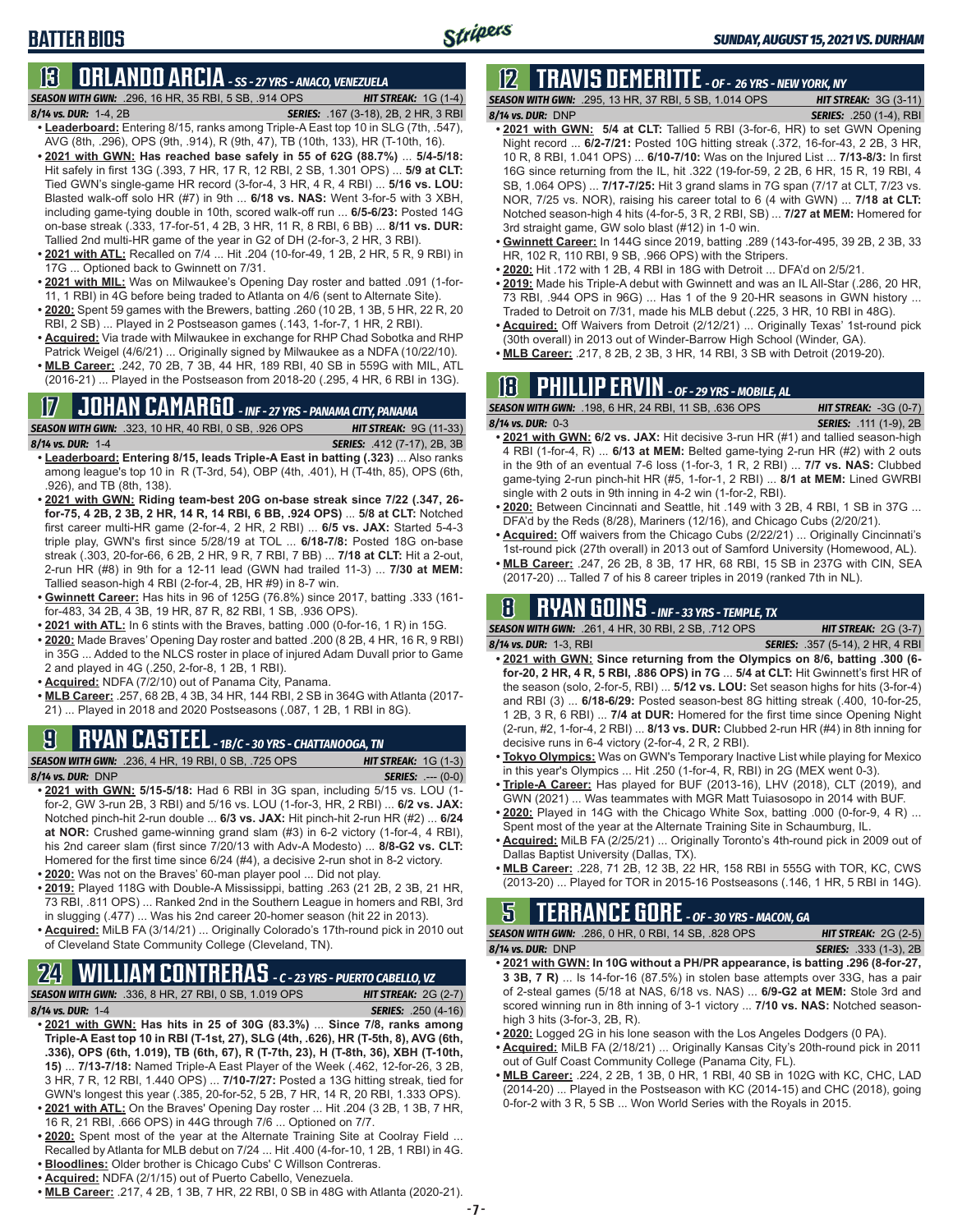### **BATTER BIOS**

## **13 ORLANDO ARCIA** *- SS - 27 YRS - ANACO, VENEZUELA*

*SEASON WITH GWN:*.296, 16 HR, 35 RBI, 5 SB, .914 OPS *HIT STREAK:* 1G (1-4) *8/14 vs. DUR:*1-4, 2B *SERIES:* .167 (3-18), 2B, 2 HR, 3 RBI

- **• Leaderboard:** Entering 8/15, ranks among Triple-A East top 10 in SLG (7th, .547), AVG (8th, .296), OPS (9th, .914), R (9th, 47), TB (10th, 133), HR (T-10th, 16).
- **• 2021 with GWN: Has reached base safely in 55 of 62G (88.7%)** ... **5/4-5/18:**  Hit safely in first 13G (.393, 7 HR, 17 R, 12 RBI, 2 SB, 1.301 OPS) ... **5/9 at CLT:** Tied GWN's single-game HR record (3-for-4, 3 HR, 4 R, 4 RBI) ... **5/16 vs. LOU:** Blasted walk-off solo HR (#7) in 9th ... **6/18 vs. NAS:** Went 3-for-5 with 3 XBH, including game-tying double in 10th, scored walk-off run ... **6/5-6/23:** Posted 14G on-base streak (.333, 17-for-51, 4 2B, 3 HR, 11 R, 8 RBI, 6 BB) ... **8/11 vs. DUR:** Tallied 2nd multi-HR game of the year in G2 of DH (2-for-3, 2 HR, 3 RBI).
- **• 2021 with ATL:** Recalled on 7/4 ... Hit .204 (10-for-49, 1 2B, 2 HR, 5 R, 9 RBI) in 17G ... Optioned back to Gwinnett on 7/31.
- **• 2021 with MIL:** Was on Milwaukee's Opening Day roster and batted .091 (1-for-11, 1 RBI) in 4G before being traded to Atlanta on 4/6 (sent to Alternate Site).
- **• 2020:** Spent 59 games with the Brewers, batting .260 (10 2B, 1 3B, 5 HR, 22 R, 20 RBI, 2 SB) ... Played in 2 Postseason games (.143, 1-for-7, 1 HR, 2 RBI).
- **• Acquired:** Via trade with Milwaukee in exchange for RHP Chad Sobotka and RHP Patrick Weigel (4/6/21) ... Originally signed by Milwaukee as a NDFA (10/22/10).
- **• MLB Career:** .242, 70 2B, 7 3B, 44 HR, 189 RBI, 40 SB in 559G with MIL, ATL (2016-21) ... Played in the Postseason from 2018-20 (.295, 4 HR, 6 RBI in 13G).

### **17 JOHAN CAMARGO** *- INF - 27 YRS - PANAMA CITY, PANAMA*

*SEASON WITH GWN:*.323, 10 HR, 40 RBI, 0 SB, .926 OPS *HIT STREAK:* 9G (11-33)

*8/14 vs. DUR:* 1-4 *SERIES:* .412 (7-17), 2B, 3B

- **• Leaderboard: Entering 8/15, leads Triple-A East in batting (.323)** ... Also ranks among league's top 10 in R (T-3rd, 54), OBP (4th, .401), H (T-4th, 85), OPS (6th, .926), and TB (8th, 138).
- **• 2021 with GWN: Riding team-best 20G on-base streak since 7/22 (.347, 26 for-75, 4 2B, 2 3B, 2 HR, 14 R, 14 RBI, 6 BB, .924 OPS)** ... **5/8 at CLT:** Notched first career multi-HR game (2-for-4, 2 HR, 2 RBI) ... **6/5 vs. JAX:** Started 5-4-3 triple play, GWN's first since 5/28/19 at TOL ... **6/18-7/8:** Posted 18G on-base streak (.303, 20-for-66, 6 2B, 2 HR, 9 R, 7 RBI, 7 BB) ... **7/18 at CLT:** Hit a 2-out, 2-run HR (#8) in 9th for a 12-11 lead (GWN had trailed 11-3) ... **7/30 at MEM:** Tallied season-high 4 RBI (2-for-4, 2B, HR #9) in 8-7 win.
- **• Gwinnett Career:** Has hits in 96 of 125G (76.8%) since 2017, batting .333 (161 for-483, 34 2B, 4 3B, 19 HR, 87 R, 82 RBI, 1 SB, .936 OPS).
- **• 2021 with ATL:** In 6 stints with the Braves, batting .000 (0-for-16, 1 R) in 15G.
- **• 2020:** Made Braves' Opening Day roster and batted .200 (8 2B, 4 HR, 16 R, 9 RBI) in 35G ... Added to the NLCS roster in place of injured Adam Duvall prior to Game 2 and played in 4G (.250, 2-for-8, 1 2B, 1 RBI).
- **• Acquired:** NDFA (7/2/10) out of Panama City, Panama.
- **• MLB Career:** .257, 68 2B, 4 3B, 34 HR, 144 RBI, 2 SB in 364G with Atlanta (2017- 21) ... Played in 2018 and 2020 Postseasons (.087, 1 2B, 1 RBI in 8G).

## **9 RYAN CASTEEL** *- 1B/C - 30 YRS - CHATTANOOGA, TN*

*SEASON WITH GWN:*.236, 4 HR, 19 RBI, 0 SB, .725 OPS *HIT STREAK:* 1G (1-3) *8/14 vs. DUR:*DNP *SERIES:* .--- (0-0)

- **• 2021 with GWN: 5/15-5/18:** Had 6 RBI in 3G span, including 5/15 vs. LOU (1 for-2, GW 3-run 2B, 3 RBI) and 5/16 vs. LOU (1-for-3, HR, 2 RBI) ... **6/2 vs. JAX:** Notched pinch-hit 2-run double ... **6/3 vs. JAX:** Hit pinch-hit 2-run HR (#2) ... **6/24 at NOR:** Crushed game-winning grand slam (#3) in 6-2 victory (1-for-4, 4 RBI), his 2nd career slam (first since 7/20/13 with Adv-A Modesto) ... **8/8-G2 vs. CLT:** Homered for the first time since 6/24 (#4), a decisive 2-run shot in 8-2 victory. **• 2020:** Was not on the Braves' 60-man player pool ... Did not play.
- 
- **• 2019:** Played 118G with Double-A Mississippi, batting .263 (21 2B, 2 3B, 21 HR, 73 RBI, .811 OPS) ... Ranked 2nd in the Southern League in homers and RBI, 3rd in slugging (.477) ... Was his 2nd career 20-homer season (hit 22 in 2013).
- **• Acquired:** MiLB FA (3/14/21) ... Originally Colorado's 17th-round pick in 2010 out of Cleveland State Community College (Cleveland, TN).

### **24 WILLIAM CONTRERAS** *- C - 23 YRS - PUERTO CABELLO, VZ*

*SEASON WITH GWN:*.336, 8 HR, 27 RBI, 0 SB, 1.019 OPS *HIT STREAK:* 2G (2-7)

*8/14 vs. DUR:* 1-4 *SERIES:* .250 (4-16)

- **• 2021 with GWN: Has hits in 25 of 30G (83.3%)** ... **Since 7/8, ranks among Triple-A East top 10 in RBI (T-1st, 27), SLG (4th, .626), HR (T-5th, 8), AVG (6th, .336), OPS (6th, 1.019), TB (6th, 67), R (T-7th, 23), H (T-8th, 36), XBH (T-10th, 15)** ... **7/13-7/18:** Named Triple-A East Player of the Week (.462, 12-for-26, 3 2B, 3 HR, 7 R, 12 RBI, 1.440 OPS) ... **7/10-7/27:** Posted a 13G hitting streak, tied for GWN's longest this year (.385, 20-for-52, 5 2B, 7 HR, 14 R, 20 RBI, 1.333 OPS). **• 2021 with ATL:** On the Braves' Opening Day roster ... Hit .204 (3 2B, 1 3B, 7 HR,
- 16 R, 21 RBI, .666 OPS) in 44G through 7/6 ... Optioned on 7/7.
- **• 2020:** Spent most of the year at the Alternate Training Site at Coolray Field ... Recalled by Atlanta for MLB debut on 7/24 ... Hit .400 (4-for-10, 1 2B, 1 RBI) in 4G.
- **• Bloodlines:** Older brother is Chicago Cubs' C Willson Contreras.
- **• Acquired:** NDFA (2/1/15) out of Puerto Cabello, Venezuela.
- **• MLB Career:** .217, 4 2B, 1 3B, 7 HR, 22 RBI, 0 SB in 48G with Atlanta (2020-21).

## **12 TRAVIS DEMERITTE** *- OF - 26 YRS - NEW YORK, NY*

*SEASON WITH GWN:*.295, 13 HR, 37 RBI, 5 SB, 1.014 OPS *HIT STREAK:* 3G (3-11) *8/14 vs. DUR:*DNP *SERIES:* .250 (1-4), RBI

- **• 2021 with GWN: 5/4 at CLT:** Tallied 5 RBI (3-for-6, HR) to set GWN Opening Night record ... **6/2-7/21:** Posted 10G hitting streak (.372, 16-for-43, 2 2B, 3 HR, 10 R, 8 RBI, 1.041 OPS) ... **6/10-7/10:** Was on the Injured List ... **7/13-8/3:** In first 16G since returning from the IL, hit .322 (19-for-59, 2 2B, 6 HR, 15 R, 19 RBI, 4 SB, 1.064 OPS) ... **7/17-7/25:** Hit 3 grand slams in 7G span (7/17 at CLT, 7/23 vs. NOR, 7/25 vs. NOR), raising his career total to 6 (4 with GWN) ... **7/18 at CLT:** Notched season-high 4 hits (4-for-5, 3 R, 2 RBI, SB) ... **7/27 at MEM:** Homered for 3rd straight game, GW solo blast (#12) in 1-0 win.
- **• Gwinnett Career:** In 144G since 2019, batting .289 (143-for-495, 39 2B, 2 3B, 33 HR, 102 R, 110 RBI, 9 SB, .966 OPS) with the Stripers.
- **• 2020:** Hit .172 with 1 2B, 4 RBI in 18G with Detroit ... DFA'd on 2/5/21.
- **• 2019:** Made his Triple-A debut with Gwinnett and was an IL All-Star (.286, 20 HR, 73 RBI, .944 OPS in 96G) ... Has 1 of the 9 20-HR seasons in GWN history ... Traded to Detroit on 7/31, made his MLB debut (.225, 3 HR, 10 RBI in 48G).
- **• Acquired:** Off Waivers from Detroit (2/12/21) ... Originally Texas' 1st-round pick (30th overall) in 2013 out of Winder-Barrow High School (Winder, GA).
- **• MLB Career:** .217, 8 2B, 2 3B, 3 HR, 14 RBI, 3 SB with Detroit (2019-20).

## **18 PHILLIP ERVIN** *- OF - 29 YRS - MOBILE, AL*

| <b>SEASON WITH GWN:</b> .198. 6 HR. 24 RBI. 11 SB. .636 OPS | <b>HIT STREAK:</b> $-3G(0-7)$ |
|-------------------------------------------------------------|-------------------------------|
| 8/14 vs. DUR: 0-3                                           | <b>SERIES:</b> .111 (1-9), 2B |
|                                                             |                               |

- **• 2021 with GWN: 6/2 vs. JAX:** Hit decisive 3-run HR (#1) and tallied season-high 4 RBI (1-for-4, R) ... **6/13 at MEM:** Belted game-tying 2-run HR (#2) with 2 outs in the 9th of an eventual 7-6 loss (1-for-3, 1 R, 2 RBI) ... **7/7 vs. NAS:** Clubbed game-tying 2-run pinch-hit HR (#5, 1-for-1, 2 RBI) ... **8/1 at MEM:** Lined GWRBI single with 2 outs in 9th inning in 4-2 win (1-for-2, RBI).
- **• 2020:** Between Cincinnati and Seattle, hit .149 with 3 2B, 4 RBI, 1 SB in 37G ... DFA'd by the Reds (8/28), Mariners (12/16), and Chicago Cubs (2/20/21).
- **• Acquired:** Off waivers from the Chicago Cubs (2/22/21) ... Originally Cincinnati's 1st-round pick (27th overall) in 2013 out of Samford University (Homewood, AL).
- **• MLB Career:** .247, 26 2B, 8 3B, 17 HR, 68 RBI, 15 SB in 237G with CIN, SEA (2017-20) ... Talled 7 of his 8 career triples in 2019 (ranked 7th in NL).

## **8 RYAN GOINS** *- INF - 33 YRS - TEMPLE, TX*

*SEASON WITH GWN:*.261, 4 HR, 30 RBI, 2 SB, .712 OPS *HIT STREAK:* 2G (3-7)

- *8/14 vs. DUR:*1-3, RBI *SERIES:* .357 (5-14), 2 HR, 4 RBI
- **• 2021 with GWN: Since returning from the Olympics on 8/6, batting .300 (6 for-20, 2 HR, 4 R, 5 RBI, .886 OPS) in 7G** ... **5/4 at CLT:** Hit Gwinnett's first HR of the season (solo, 2-for-5, RBI) ... **5/12 vs. LOU:** Set season highs for hits (3-for-4) and RBI (3) ... **6/18-6/29:** Posted season-best 8G hitting streak (.400, 10-for-25, 1 2B, 3 R, 6 RBI) ... **7/4 at DUR:** Homered for the first time since Opening Night (2-run, #2, 1-for-4, 2 RBI) ... **8/13 vs. DUR:** Clubbed 2-run HR (#4) in 8th inning for decisive runs in 6-4 victory (2-for-4, 2 R, 2 RBI).
- **• Tokyo Olympics:** Was on GWN's Temporary Inactive List while playing for Mexico in this year's Olympics ... Hit .250 (1-for-4, R, RBI) in 2G (MEX went 0-3).
- **• Triple-A Career:** Has played for BUF (2013-16), LHV (2018), CLT (2019), and GWN (2021) ... Was teammates with MGR Matt Tuiasosopo in 2014 with BUF.
- **• 2020:** Played in 14G with the Chicago White Sox, batting .000 (0-for-9, 4 R) ... Spent most of the year at the Alternate Training Site in Schaumburg, IL.
- **• Acquired:** MiLB FA (2/25/21) ... Originally Toronto's 4th-round pick in 2009 out of Dallas Baptist University (Dallas, TX).
- **• MLB Career:** .228, 71 2B, 12 3B, 22 HR, 158 RBI in 555G with TOR, KC, CWS (2013-20) ... Played for TOR in 2015-16 Postseasons (.146, 1 HR, 5 RBI in 14G).

### **5 TERRANCE GORE** *- OF - 30 YRS - MACON, GA*

*SEASON WITH GWN:*.286, 0 HR, 0 RBI, 14 SB, .828 OPS *HIT STREAK:* 2G (2-5) *8/14 vs. DUR:*DNP *SERIES:* .333 (1-3), 2B

- **• 2021 with GWN: In 10G without a PH/PR appearance, is batting .296 (8-for-27, 3 3B, 7 R)** ... Is 14-for-16 (87.5%) in stolen base attempts over 33G, has a pair of 2-steal games (5/18 at NAS, 6/18 vs. NAS) ... **6/9-G2 at MEM:** Stole 3rd and scored winning run in 8th inning of 3-1 victory ... **7/10 vs. NAS:** Notched seasonhigh 3 hits (3-for-3, 2B, R).
- **• 2020:** Logged 2G in his lone season with the Los Angeles Dodgers (0 PA).
- **• Acquired:** MiLB FA (2/18/21) ... Originally Kansas City's 20th-round pick in 2011 out of Gulf Coast Community College (Panama City, FL).
- **• MLB Career:** .224, 2 2B, 1 3B, 0 HR, 1 RBI, 40 SB in 102G with KC, CHC, LAD (2014-20) ... Played in the Postseason with KC (2014-15) and CHC (2018), going 0-for-2 with 3 R, 5 SB ... Won World Series with the Royals in 2015.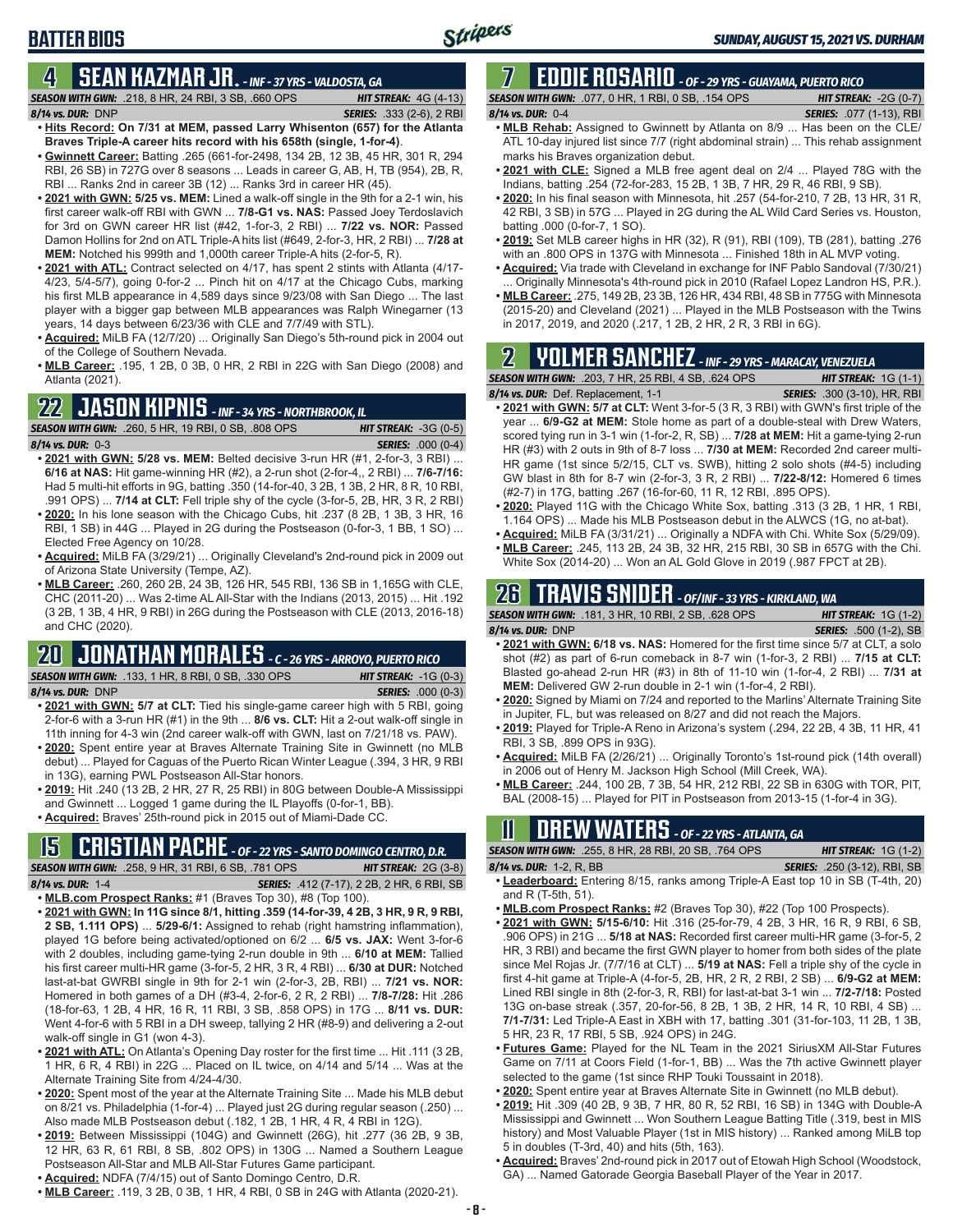### **BATTER BIOS**

#### **4 SEAN KAZMAR JR.** *- INF - 37 YRS - VALDOSTA, GA*

*SEASON WITH GWN:*.218, 8 HR, 24 RBI, 3 SB, .660 OPS *HIT STREAK:* 4G (4-13) *8/14 vs. DUR:*DNP *SERIES:* .333 (2-6), 2 RBI

- **• Hits Record: On 7/31 at MEM, passed Larry Whisenton (657) for the Atlanta Braves Triple-A career hits record with his 658th (single, 1-for-4)**. **• Gwinnett Career:** Batting .265 (661-for-2498, 134 2B, 12 3B, 45 HR, 301 R, 294
- RBI, 26 SB) in 727G over 8 seasons ... Leads in career G, AB, H, TB (954), 2B, R, RBI ... Ranks 2nd in career 3B (12) ... Ranks 3rd in career HR (45).
- **• 2021 with GWN: 5/25 vs. MEM:** Lined a walk-off single in the 9th for a 2-1 win, his first career walk-off RBI with GWN ... **7/8-G1 vs. NAS:** Passed Joey Terdoslavich for 3rd on GWN career HR list (#42, 1-for-3, 2 RBI) ... **7/22 vs. NOR:** Passed Damon Hollins for 2nd on ATL Triple-A hits list (#649, 2-for-3, HR, 2 RBI) ... **7/28 at MEM:** Notched his 999th and 1,000th career Triple-A hits (2-for-5, R).
- **• 2021 with ATL:** Contract selected on 4/17, has spent 2 stints with Atlanta (4/17- 4/23, 5/4-5/7), going 0-for-2 ... Pinch hit on 4/17 at the Chicago Cubs, marking his first MLB appearance in 4,589 days since 9/23/08 with San Diego ... The last player with a bigger gap between MLB appearances was Ralph Winegarner (13 years, 14 days between 6/23/36 with CLE and 7/7/49 with STL).
- **• Acquired:** MiLB FA (12/7/20) ... Originally San Diego's 5th-round pick in 2004 out of the College of Southern Nevada.
- **• MLB Career:** .195, 1 2B, 0 3B, 0 HR, 2 RBI in 22G with San Diego (2008) and Atlanta (2021).

## **22 JASON KIPNIS** *- INF - 34 YRS - NORTHBROOK, IL*

*SEASON WITH GWN:*.260, 5 HR, 19 RBI, 0 SB, .808 OPS *HIT STREAK:* -3G (0-5) *8/14 vs. DUR:*0-3 *SERIES:* .000 (0-4)

- **• 2021 with GWN: 5/28 vs. MEM:** Belted decisive 3-run HR (#1, 2-for-3, 3 RBI) ... **6/16 at NAS:** Hit game-winning HR (#2), a 2-run shot (2-for-4,, 2 RBI) ... **7/6-7/16:** Had 5 multi-hit efforts in 9G, batting .350 (14-for-40, 3 2B, 1 3B, 2 HR, 8 R, 10 RBI, .991 OPS) ... **7/14 at CLT:** Fell triple shy of the cycle (3-for-5, 2B, HR, 3 R, 2 RBI) **• 2020:** In his lone season with the Chicago Cubs, hit .237 (8 2B, 1 3B, 3 HR, 16
- RBI, 1 SB) in 44G ... Played in 2G during the Postseason (0-for-3, 1 BB, 1 SO) ... Elected Free Agency on 10/28.
- **• Acquired:** MiLB FA (3/29/21) ... Originally Cleveland's 2nd-round pick in 2009 out of Arizona State University (Tempe, AZ).
- **• MLB Career:** .260, 260 2B, 24 3B, 126 HR, 545 RBI, 136 SB in 1,165G with CLE, CHC (2011-20) ... Was 2-time AL All-Star with the Indians (2013, 2015) ... Hit .192 (3 2B, 1 3B, 4 HR, 9 RBI) in 26G during the Postseason with CLE (2013, 2016-18) and CHC (2020).

## **20 JONATHAN MORALES** *- C - 26 YRS - ARROYO, PUERTO RICO*

*SEASON WITH GWN:*.133, 1 HR, 8 RBI, 0 SB, .330 OPS *HIT STREAK:* -1G (0-3)

*8/14 vs. DUR:*DNP *SERIES:* .000 (0-3)

- **• 2021 with GWN: 5/7 at CLT:** Tied his single-game career high with 5 RBI, going 2-for-6 with a 3-run HR (#1) in the 9th ... **8/6 vs. CLT:** Hit a 2-out walk-off single in 11th inning for 4-3 win (2nd career walk-off with GWN, last on 7/21/18 vs. PAW).
- **• 2020:** Spent entire year at Braves Alternate Training Site in Gwinnett (no MLB debut) ... Played for Caguas of the Puerto Rican Winter League (.394, 3 HR, 9 RBI in 13G), earning PWL Postseason All-Star honors.
- **• 2019:** Hit .240 (13 2B, 2 HR, 27 R, 25 RBI) in 80G between Double-A Mississippi and Gwinnett ... Logged 1 game during the IL Playoffs (0-for-1, BB).
- **• Acquired:** Braves' 25th-round pick in 2015 out of Miami-Dade CC.

## **15 CRISTIAN PACHE** *- OF - 22 YRS - SANTO DOMINGO CENTRO, D.R.*

*SEASON WITH GWN:*.258, 9 HR, 31 RBI, 6 SB, .781 OPS *HIT STREAK:* 2G (3-8) *8/14 vs. DUR:* 1-4 *SERIES:* .412 (7-17), 2 2B, 2 HR, 6 RBI, SB

- **• MLB.com Prospect Ranks:** #1 (Braves Top 30), #8 (Top 100).
- **• 2021 with GWN: In 11G since 8/1, hitting .359 (14-for-39, 4 2B, 3 HR, 9 R, 9 RBI, 2 SB, 1.111 OPS)** ... **5/29-6/1:** Assigned to rehab (right hamstring inflammation), played 1G before being activated/optioned on 6/2 ... **6/5 vs. JAX:** Went 3-for-6 with 2 doubles, including game-tying 2-run double in 9th ... **6/10 at MEM:** Tallied his first career multi-HR game (3-for-5, 2 HR, 3 R, 4 RBI) ... **6/30 at DUR:** Notched last-at-bat GWRBI single in 9th for 2-1 win (2-for-3, 2B, RBI) ... **7/21 vs. NOR:** Homered in both games of a DH (#3-4, 2-for-6, 2 R, 2 RBI) ... **7/8-7/28:** Hit .286 (18-for-63, 1 2B, 4 HR, 16 R, 11 RBI, 3 SB, .858 OPS) in 17G ... **8/11 vs. DUR:** Went 4-for-6 with 5 RBI in a DH sweep, tallying 2 HR (#8-9) and delivering a 2-out walk-off single in G1 (won 4-3).
- **• 2021 with ATL:** On Atlanta's Opening Day roster for the first time ... Hit .111 (3 2B, 1 HR, 6 R, 4 RBI) in 22G ... Placed on IL twice, on 4/14 and 5/14 ... Was at the Alternate Training Site from 4/24-4/30.
- **• 2020:** Spent most of the year at the Alternate Training Site ... Made his MLB debut on 8/21 vs. Philadelphia (1-for-4) ... Played just 2G during regular season (.250) ... Also made MLB Postseason debut (.182, 1 2B, 1 HR, 4 R, 4 RBI in 12G).
- **• 2019:** Between Mississippi (104G) and Gwinnett (26G), hit .277 (36 2B, 9 3B, 12 HR, 63 R, 61 RBI, 8 SB, .802 OPS) in 130G ... Named a Southern League Postseason All-Star and MLB All-Star Futures Game participant.
- **• Acquired:** NDFA (7/4/15) out of Santo Domingo Centro, D.R.
- **• MLB Career:** .119, 3 2B, 0 3B, 1 HR, 4 RBI, 0 SB in 24G with Atlanta (2020-21).

#### **7 EDDIE ROSARIO** *- OF - 29 YRS - GUAYAMA, PUERTO RICO SEASON WITH GWN:*.077, 0 HR, 1 RBI, 0 SB, .154 OPS *HIT STREAK:* -2G (0-7)

- *8/14 vs. DUR:* 0-4 *SERIES:* .077 (1-13), RBI **• MLB Rehab:** Assigned to Gwinnett by Atlanta on 8/9 ... Has been on the CLE/ ATL 10-day injured list since 7/7 (right abdominal strain) ... This rehab assignment marks his Braves organization debut.
- **• 2021 with CLE:** Signed a MLB free agent deal on 2/4 ... Played 78G with the Indians, batting .254 (72-for-283, 15 2B, 1 3B, 7 HR, 29 R, 46 RBI, 9 SB).
- **• 2020:** In his final season with Minnesota, hit .257 (54-for-210, 7 2B, 13 HR, 31 R, 42 RBI, 3 SB) in 57G ... Played in 2G during the AL Wild Card Series vs. Houston, batting .000 (0-for-7, 1 SO).
- **• 2019:** Set MLB career highs in HR (32), R (91), RBI (109), TB (281), batting .276 with an .800 OPS in 137G with Minnesota ... Finished 18th in AL MVP voting.
- **• Acquired:** Via trade with Cleveland in exchange for INF Pablo Sandoval (7/30/21) Originally Minnesota's 4th-round pick in 2010 (Rafael Lopez Landron HS, P.R.).
- **• MLB Career:** .275, 149 2B, 23 3B, 126 HR, 434 RBI, 48 SB in 775G with Minnesota (2015-20) and Cleveland (2021) ... Played in the MLB Postseason with the Twins in 2017, 2019, and 2020 (.217, 1 2B, 2 HR, 2 R, 3 RBI in 6G).

## **2 YOLMER SANCHEZ** *- INF - 29 YRS - MARACAY, VENEZUELA*

#### *SEASON WITH GWN:*.203, 7 HR, 25 RBI, 4 SB, .624 OPS *HIT STREAK:* 1G (1-1)

- *8/14 vs. DUR:*Def. Replacement, 1-1 *SERIES:* .300 (3-10), HR, RBI **• 2021 with GWN: 5/7 at CLT:** Went 3-for-5 (3 R, 3 RBI) with GWN's first triple of the year ... **6/9-G2 at MEM:** Stole home as part of a double-steal with Drew Waters, scored tying run in 3-1 win (1-for-2, R, SB) ... **7/28 at MEM:** Hit a game-tying 2-run HR (#3) with 2 outs in 9th of 8-7 loss ... **7/30 at MEM:** Recorded 2nd career multi-HR game (1st since 5/2/15, CLT vs. SWB), hitting 2 solo shots (#4-5) including GW blast in 8th for 8-7 win (2-for-3, 3 R, 2 RBI) ... **7/22-8/12:** Homered 6 times (#2-7) in 17G, batting .267 (16-for-60, 11 R, 12 RBI, .895 OPS).
- **• 2020:** Played 11G with the Chicago White Sox, batting .313 (3 2B, 1 HR, 1 RBI, 1.164 OPS) ... Made his MLB Postseason debut in the ALWCS (1G, no at-bat).
- **• Acquired:** MiLB FA (3/31/21) ... Originally a NDFA with Chi. White Sox (5/29/09).
- **• MLB Career:** .245, 113 2B, 24 3B, 32 HR, 215 RBI, 30 SB in 657G with the Chi. White Sox (2014-20) ... Won an AL Gold Glove in 2019 (.987 FPCT at 2B).

## **26 TRAVIS SNIDER** *- OF/INF - 33 YRS - KIRKLAND, WA*

| <b>SEASON WITH GWN: .181, 3 HR, 10 RBI, 2 SB, .628 OPS</b>                         | <b>HIT STREAK:</b> $1G(1-2)$  |
|------------------------------------------------------------------------------------|-------------------------------|
| 8/14 vs. DUR: DNP                                                                  | <b>SERIES:</b> .500 (1-2), SB |
| • 2021 with GWN: 6/18 vs. NAS: Homered for the first time since 5/7 at CLT, a solo |                               |
| $h \sim h^{-1}$ (40) as not of C win semployed in 0.7 $\ldots$ (4 for 0.0.0.00)    | $714E - 40E$                  |

- shot (#2) as part of 6-run comeback in 8-7 win (1-for-3, 2 RBI) ... **7/15 at CLT:** Blasted go-ahead 2-run HR (#3) in 8th of 11-10 win (1-for-4, 2 RBI) ... **7/31 at MEM:** Delivered GW 2-run double in 2-1 win (1-for-4, 2 RBI).
- **• 2020:** Signed by Miami on 7/24 and reported to the Marlins' Alternate Training Site in Jupiter, FL, but was released on 8/27 and did not reach the Majors.
- **• 2019:** Played for Triple-A Reno in Arizona's system (.294, 22 2B, 4 3B, 11 HR, 41 RBI, 3 SB, .899 OPS in 93G).
- **• Acquired:** MiLB FA (2/26/21) ... Originally Toronto's 1st-round pick (14th overall) in 2006 out of Henry M. Jackson High School (Mill Creek, WA).
- **• MLB Career:** .244, 100 2B, 7 3B, 54 HR, 212 RBI, 22 SB in 630G with TOR, PIT, BAL (2008-15) ... Played for PIT in Postseason from 2013-15 (1-for-4 in 3G).

## **11 Drew WATERS** *- OF - 22 YRS - ATLANTA, GA*

*SEASON WITH GWN:*.255, 8 HR, 28 RBI, 20 SB, .764 OPS *HIT STREAK:* 1G (1-2) *8/14 vs. DUR:*1-2, R, BB *SERIES:* .250 (3-12), RBI, SB

- **• Leaderboard:** Entering 8/15, ranks among Triple-A East top 10 in SB (T-4th, 20) and R (T-5th, 51).
- **• MLB.com Prospect Ranks:** #2 (Braves Top 30), #22 (Top 100 Prospects).
- **• 2021 with GWN: 5/15-6/10:** Hit .316 (25-for-79, 4 2B, 3 HR, 16 R, 9 RBI, 6 SB, .906 OPS) in 21G ... **5/18 at NAS:** Recorded first career multi-HR game (3-for-5, 2 HR, 3 RBI) and became the first GWN player to homer from both sides of the plate since Mel Rojas Jr. (7/7/16 at CLT) ... **5/19 at NAS:** Fell a triple shy of the cycle in first 4-hit game at Triple-A (4-for-5, 2B, HR, 2 R, 2 RBI, 2 SB) ... **6/9-G2 at MEM:** Lined RBI single in 8th (2-for-3, R, RBI) for last-at-bat 3-1 win ... **7/2-7/18:** Posted 13G on-base streak (.357, 20-for-56, 8 2B, 1 3B, 2 HR, 14 R, 10 RBI, 4 SB) ... **7/1-7/31:** Led Triple-A East in XBH with 17, batting .301 (31-for-103, 11 2B, 1 3B, 5 HR, 23 R, 17 RBI, 5 SB, .924 OPS) in 24G.
- **• Futures Game:** Played for the NL Team in the 2021 SiriusXM All-Star Futures Game on 7/11 at Coors Field (1-for-1, BB) ... Was the 7th active Gwinnett player selected to the game (1st since RHP Touki Toussaint in 2018).
- **• 2020:** Spent entire year at Braves Alternate Site in Gwinnett (no MLB debut).
- **• 2019:** Hit .309 (40 2B, 9 3B, 7 HR, 80 R, 52 RBI, 16 SB) in 134G with Double-A Mississippi and Gwinnett ... Won Southern League Batting Title (.319, best in MIS history) and Most Valuable Player (1st in MIS history) ... Ranked among MiLB top 5 in doubles (T-3rd, 40) and hits (5th, 163).
- **• Acquired:** Braves' 2nd-round pick in 2017 out of Etowah High School (Woodstock, GA) ... Named Gatorade Georgia Baseball Player of the Year in 2017.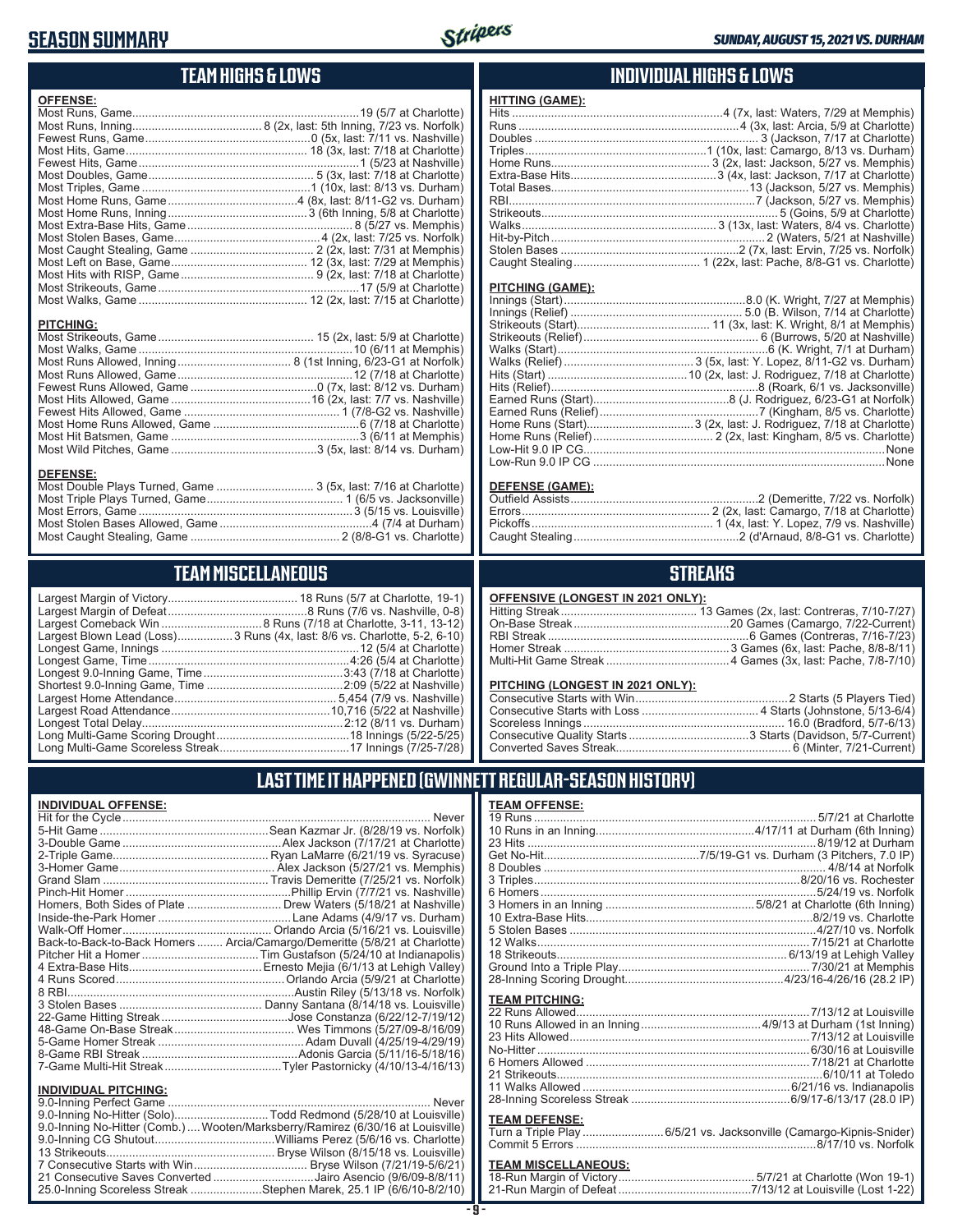### **SEASON SUMMARY**

**INDIVIDUAL OFFENSE:**



#### **TEAM HIGHS & LOWS**

| <b>OFFENSE:</b>                                                                    |  |
|------------------------------------------------------------------------------------|--|
|                                                                                    |  |
|                                                                                    |  |
|                                                                                    |  |
|                                                                                    |  |
|                                                                                    |  |
|                                                                                    |  |
|                                                                                    |  |
|                                                                                    |  |
|                                                                                    |  |
|                                                                                    |  |
|                                                                                    |  |
|                                                                                    |  |
|                                                                                    |  |
|                                                                                    |  |
|                                                                                    |  |
|                                                                                    |  |
|                                                                                    |  |
| <b>PITCHING:</b>                                                                   |  |
|                                                                                    |  |
|                                                                                    |  |
|                                                                                    |  |
|                                                                                    |  |
|                                                                                    |  |
|                                                                                    |  |
|                                                                                    |  |
|                                                                                    |  |
|                                                                                    |  |
|                                                                                    |  |
|                                                                                    |  |
|                                                                                    |  |
| <b>DEFENSE:</b><br>Most Double Plays Turned, Game  3 (5x, last: 7/16 at Charlotte) |  |
|                                                                                    |  |

Most Triple Plays Turned, Game .......................................... 1 (6/5 vs. Jacksonville) Most Errors, Game ..................................................................3 (5/15 vs. Louisville) Most Stolen Bases Allowed, Game ...............................................4 (7/4 at Durham) Most Caught Stealing, Game .............................................. 2 (8/8-G1 vs. Charlotte)

**TEAM MISCELLANEOUS** Largest Margin of Victory........................................ 18 Runs (5/7 at Charlotte, 19-1) Largest Margin of Defeat ...........................................8 Runs (7/6 vs. Nashville, 0-8) Largest Comeback Win ...............................8 Runs (7/18 at Charlotte, 3-11, 13-12) Largest Blown Lead (Loss).................3 Runs (4x, last: 8/6 vs. Charlotte, 5-2, 6-10) Longest Game, Innings .............................................................12 (5/4 at Charlotte) Longest Game, Time ..............................................................4:26 (5/4 at Charlotte) Longest 9.0-Inning Game, Time ...........................................3:43 (7/18 at Charlotte) Shortest 9.0-Inning Game, Time ..........................................2:09 (5/22 at Nashville) Largest Home Attendance .................................................. 5,454 (7/9 vs. Nashville) Largest Road Attendance .................................................10,716 (5/22 at Nashville) Longest Total Delay..............................................................2:12 (8/11 vs. Durham) Long Multi-Game Scoring Drought .........................................18 Innings (5/22-5/25) Long Multi-Game Scoreless Streak ........................................17 Innings (7/25-7/28)

#### **INDIVIDUAL HIGHS & LOWS**

#### **PITCHING (GAME):**

#### **DEFENSE (GAME):**

#### **STREAKS**

#### **OFFENSIVE (LONGEST IN 2021 ONLY):**

#### **PITCHING (LONGEST IN 2021 ONLY):**

#### **LAST TIME IT HAPPENED (GWINNETT REGULAR-SEASON HISTORY)**

|                               | Homers, Both Sides of Plate  Drew Waters (5/18/21 at Nashville)            |
|-------------------------------|----------------------------------------------------------------------------|
|                               |                                                                            |
|                               |                                                                            |
|                               | Back-to-Back-to-Back Homers  Arcia/Camargo/Demeritte (5/8/21 at Charlotte) |
|                               |                                                                            |
|                               |                                                                            |
|                               |                                                                            |
|                               |                                                                            |
|                               |                                                                            |
|                               |                                                                            |
|                               |                                                                            |
|                               |                                                                            |
|                               |                                                                            |
|                               |                                                                            |
| <b>INDIVIDUAL PITCHING:</b>   |                                                                            |
| 0.0 Institute Developed Compa | <b>N</b> Lassau                                                            |

| 9.0-Inning No-Hitter (Solo)Todd Redmond (5/28/10 at Louisville)                |  |
|--------------------------------------------------------------------------------|--|
| 9.0-Inning No-Hitter (Comb.) Wooten/Marksberry/Ramirez (6/30/16 at Louisville) |  |
|                                                                                |  |
|                                                                                |  |
|                                                                                |  |
| 21 Consecutive Saves Converted Jairo Asencio (9/6/09-8/8/11)                   |  |
| 25.0-Inning Scoreless Streak Stephen Marek, 25.1 IP (6/6/10-8/2/10)            |  |
|                                                                                |  |

#### **TEAM OFFENSE:**

| <b>TEAM PITCHING:</b> |                                                                    |
|-----------------------|--------------------------------------------------------------------|
|                       |                                                                    |
|                       |                                                                    |
|                       |                                                                    |
|                       |                                                                    |
|                       |                                                                    |
|                       |                                                                    |
|                       |                                                                    |
|                       |                                                                    |
|                       |                                                                    |
| <b>TEAM DEFENSE:</b>  |                                                                    |
|                       | Turn a Triple Play 6/5/21 vs. Jacksonville (Camargo-Kipnis-Snider) |
|                       |                                                                    |

#### Commit 5 Errors ..........................................................................8/17/10 vs. Norfolk

### **TEAM MISCELLANEOUS:**

| 21-Run Margin of Defeat…………………………………7/13/12 at Louisville (Lost 1-22) |
|-----------------------------------------------------------------------|